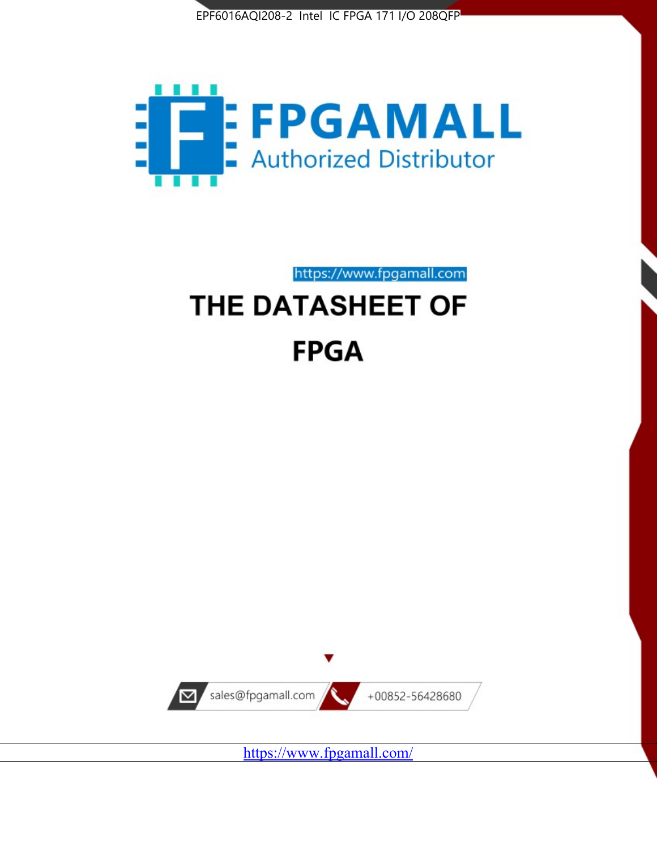



https://www.fpgamall.com THE DATASHEET OF

# **FPGA**



<https://www.fpgamall.com/>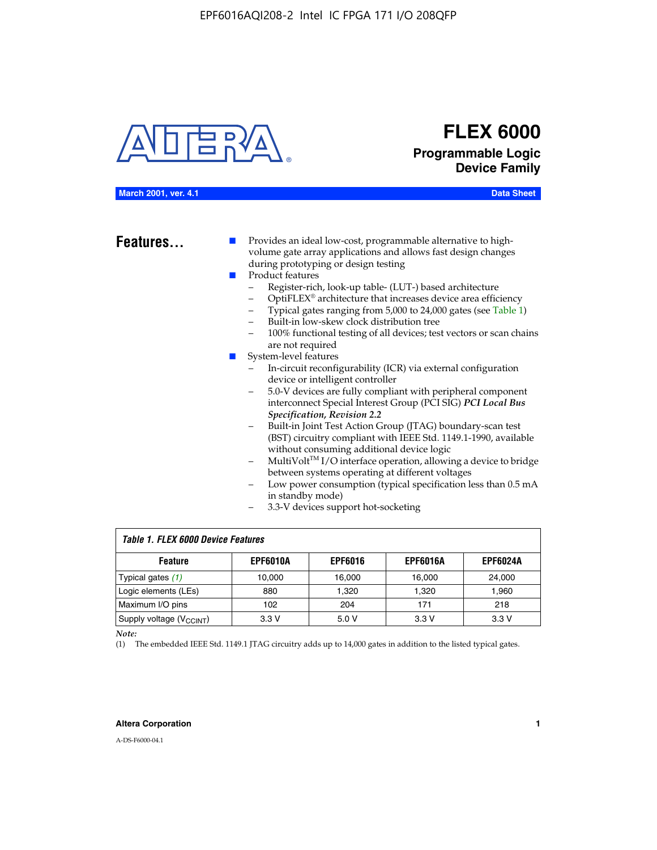

# **FLEX 6000 Programmable Logic Device Family**

#### **March 2001, ver. 4.1 Data Sheet**

**Features...** ■ Provides an ideal low-cost, programmable alternative to highvolume gate array applications and allows fast design changes during prototyping or design testing

- Product features
	- Register-rich, look-up table- (LUT-) based architecture
		- OptiFLEX® architecture that increases device area efficiency
	- Typical gates ranging from 5,000 to 24,000 gates (see Table 1)
	- Built-in low-skew clock distribution tree
	- 100% functional testing of all devices; test vectors or scan chains are not required
- System-level features
	- In-circuit reconfigurability (ICR) via external configuration device or intelligent controller
	- 5.0-V devices are fully compliant with peripheral component interconnect Special Interest Group (PCI SIG) *PCI Local Bus Specification, Revision 2.2*
	- Built-in Joint Test Action Group (JTAG) boundary-scan test (BST) circuitry compliant with IEEE Std. 1149.1-1990, available without consuming additional device logic
	- MultiVolt™ I/O interface operation, allowing a device to bridge between systems operating at different voltages
	- Low power consumption (typical specification less than 0.5 mA in standby mode)
	- 3.3-V devices support hot-socketing

| <b>Table 1. FLEX 6000 Device Features</b> |                 |                |                 |                 |  |  |  |
|-------------------------------------------|-----------------|----------------|-----------------|-----------------|--|--|--|
| <b>Feature</b>                            | <b>EPF6010A</b> | <b>EPF6016</b> | <b>EPF6016A</b> | <b>EPF6024A</b> |  |  |  |
| Typical gates $(1)$                       | 10.000          | 16.000         | 16.000          | 24.000          |  |  |  |
| Logic elements (LEs)                      | 880             | 1.320          | 1.320           | 1,960           |  |  |  |
| Maximum I/O pins                          | 102             | 204            | 171             | 218             |  |  |  |
| Supply voltage (V <sub>CCINT</sub> )      | 3.3V            | 5.0V           | 3.3V            | 3.3V            |  |  |  |

*Note:*

(1) The embedded IEEE Std. 1149.1 JTAG circuitry adds up to 14,000 gates in addition to the listed typical gates.

#### **Altera Corporation 1**

A-DS-F6000-04.1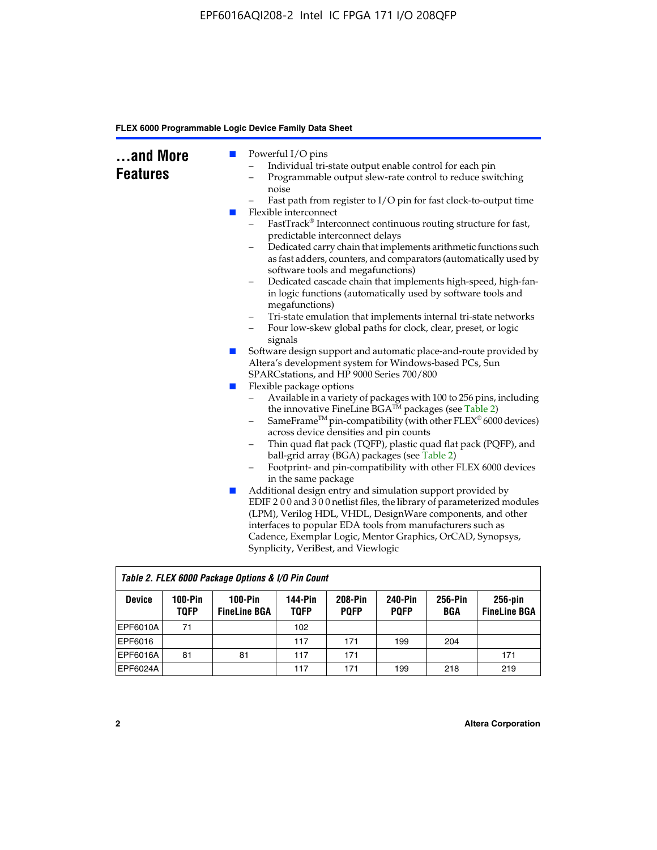| and More<br><b>Features</b> | <b>College</b><br><b>STAR</b> | Powerful I/O pins<br>Individual tri-state output enable control for each pin<br>Programmable output slew-rate control to reduce switching<br>noise<br>Fast path from register to I/O pin for fast clock-to-output time<br>Flexible interconnect<br>FastTrack® Interconnect continuous routing structure for fast,<br>predictable interconnect delays<br>Dedicated carry chain that implements arithmetic functions such<br>as fast adders, counters, and comparators (automatically used by<br>software tools and megafunctions)<br>Dedicated cascade chain that implements high-speed, high-fan-<br>$\qquad \qquad -$ |
|-----------------------------|-------------------------------|------------------------------------------------------------------------------------------------------------------------------------------------------------------------------------------------------------------------------------------------------------------------------------------------------------------------------------------------------------------------------------------------------------------------------------------------------------------------------------------------------------------------------------------------------------------------------------------------------------------------|
|                             |                               | in logic functions (automatically used by software tools and<br>megafunctions)<br>Tri-state emulation that implements internal tri-state networks<br>$\qquad \qquad -$                                                                                                                                                                                                                                                                                                                                                                                                                                                 |
|                             |                               | Four low-skew global paths for clock, clear, preset, or logic<br>-<br>signals<br>Software design support and automatic place-and-route provided by                                                                                                                                                                                                                                                                                                                                                                                                                                                                     |
|                             | $\mathbb{R}^n$                | Altera's development system for Windows-based PCs, Sun<br>SPARCstations, and HP 9000 Series 700/800                                                                                                                                                                                                                                                                                                                                                                                                                                                                                                                    |
|                             | H                             | Flexible package options<br>Available in a variety of packages with 100 to 256 pins, including<br>-<br>the innovative FineLine BGA™ packages (see Table 2)<br>SameFrame <sup>TM</sup> pin-compatibility (with other $FLEX^{\otimes}$ 6000 devices)<br>$\qquad \qquad -$<br>across device densities and pin counts<br>Thin quad flat pack (TQFP), plastic quad flat pack (PQFP), and<br>-<br>ball-grid array (BGA) packages (see Table 2)<br>Footprint- and pin-compatibility with other FLEX 6000 devices<br>in the same package                                                                                       |
|                             | $\mathbb{Z}$                  | Additional design entry and simulation support provided by<br>EDIF 200 and 300 netlist files, the library of parameterized modules<br>(LPM), Verilog HDL, VHDL, DesignWare components, and other<br>interfaces to popular EDA tools from manufacturers such as<br>Cadence, Exemplar Logic, Mentor Graphics, OrCAD, Synopsys,<br>Synplicity, VeriBest, and Viewlogic                                                                                                                                                                                                                                                    |

| Table 2. FLEX 6000 Package Options & I/O Pin Count |                          |                                  |                               |                        |                               |                |                                   |
|----------------------------------------------------|--------------------------|----------------------------------|-------------------------------|------------------------|-------------------------------|----------------|-----------------------------------|
| <b>Device</b>                                      | $100-Pin$<br><b>TQFP</b> | $100-Pin$<br><b>FineLine BGA</b> | <b>144-Pin</b><br><b>TOFP</b> | 208-Pin<br><b>POFP</b> | <b>240-Pin</b><br><b>PQFP</b> | 256-Pin<br>BGA | $256$ -pin<br><b>FineLine BGA</b> |
| <b>EPF6010A</b>                                    | 71                       |                                  | 102                           |                        |                               |                |                                   |
| EPF6016                                            |                          |                                  | 117                           | 171                    | 199                           | 204            |                                   |
| <b>EPF6016A</b>                                    | 81                       | 81                               | 117                           | 171                    |                               |                | 171                               |
| EPF6024A                                           |                          |                                  | 117                           | 171                    | 199                           | 218            | 219                               |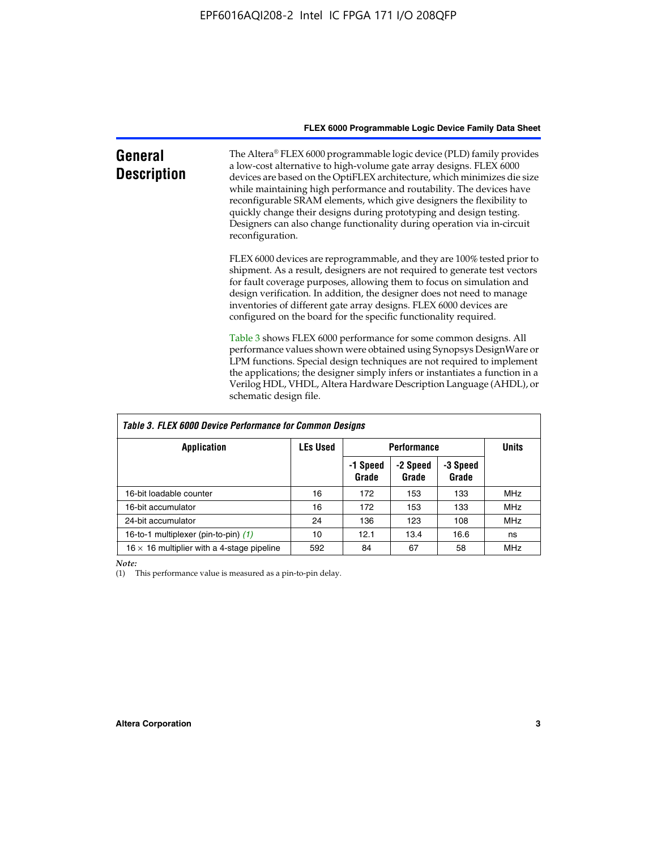| General<br><b>Description</b> | The Altera® FLEX 6000 programmable logic device (PLD) family provides<br>a low-cost alternative to high-volume gate array designs. FLEX 6000<br>devices are based on the OptiFLEX architecture, which minimizes die size<br>while maintaining high performance and routability. The devices have<br>reconfigurable SRAM elements, which give designers the flexibility to<br>quickly change their designs during prototyping and design testing.<br>Designers can also change functionality during operation via in-circuit<br>reconfiguration. |
|-------------------------------|-------------------------------------------------------------------------------------------------------------------------------------------------------------------------------------------------------------------------------------------------------------------------------------------------------------------------------------------------------------------------------------------------------------------------------------------------------------------------------------------------------------------------------------------------|
|                               | FLEX 6000 devices are reprogrammable, and they are 100% tested prior to<br>shipment. As a result, designers are not required to generate test vectors<br>for fault coverage purposes, allowing them to focus on simulation and<br>design verification. In addition, the designer does not need to manage<br>inventories of different gate array designs. FLEX 6000 devices are<br>configured on the board for the specific functionality required.                                                                                              |
|                               | Table 3 shows FLEX 6000 performance for some common designs. All<br>performance values shown were obtained using Synopsys DesignWare or<br>LPM functions. Special design techniques are not required to implement<br>the applications; the designer simply infers or instantiates a function in a<br>Verilog HDL, VHDL, Altera Hardware Description Language (AHDL), or<br>schematic design file.                                                                                                                                               |

| Table 3. FLEX 6000 Device Performance for Common Designs |                 |                    |                   |                   |            |  |
|----------------------------------------------------------|-----------------|--------------------|-------------------|-------------------|------------|--|
| <b>Application</b>                                       | <b>LEs Used</b> | <b>Performance</b> | <b>Units</b>      |                   |            |  |
|                                                          |                 | -1 Speed<br>Grade  | -2 Speed<br>Grade | -3 Speed<br>Grade |            |  |
| 16-bit loadable counter                                  | 16              | 172                | 153               | 133               | <b>MHz</b> |  |
| 16-bit accumulator                                       | 16              | 172                | 153               | 133               | <b>MHz</b> |  |
| 24-bit accumulator                                       | 24              | 136                | 123               | 108               | <b>MHz</b> |  |
| 16-to-1 multiplexer (pin-to-pin) (1)                     | 10              | 12.1               | 13.4              | 16.6              | ns         |  |
| $16 \times 16$ multiplier with a 4-stage pipeline        | 592             | 84                 | 67                | 58                | <b>MHz</b> |  |

*Note:*

 $\mathsf T$ 

(1) This performance value is measured as a pin-to-pin delay.

٦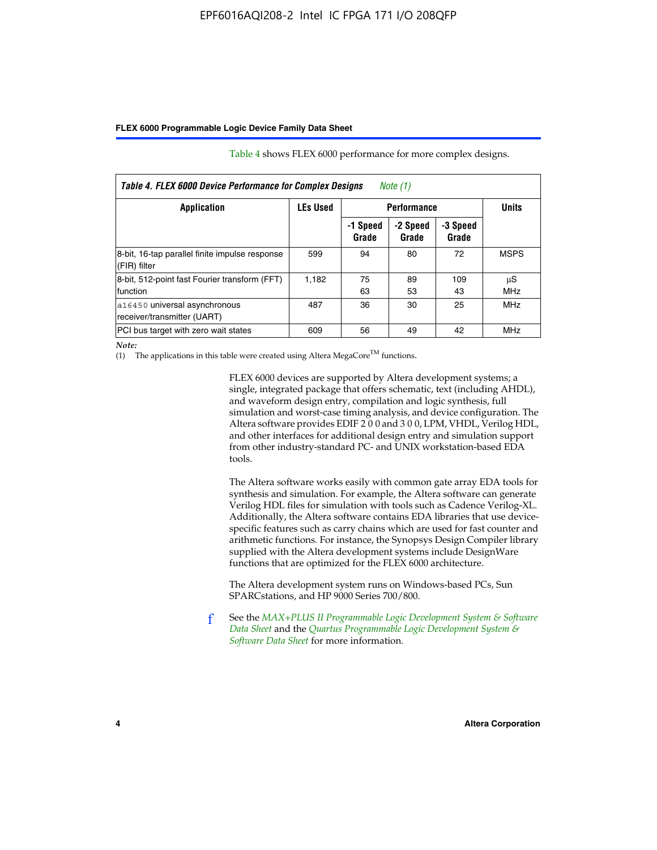| Table 4. FLEX 6000 Device Performance for Complex Designs<br>Note (1) |                 |                    |                   |                   |                  |  |
|-----------------------------------------------------------------------|-----------------|--------------------|-------------------|-------------------|------------------|--|
| Application                                                           | <b>LEs Used</b> | <b>Performance</b> |                   |                   | <b>Units</b>     |  |
|                                                                       |                 | -1 Speed<br>Grade  | -2 Speed<br>Grade | -3 Speed<br>Grade |                  |  |
| 8-bit, 16-tap parallel finite impulse response<br>(FIR) filter        | 599             | 94                 | 80                | 72                | <b>MSPS</b>      |  |
| 8-bit, 512-point fast Fourier transform (FFT)<br>function             | 1.182           | 75<br>63           | 89<br>53          | 109<br>43         | μS<br><b>MHz</b> |  |
| a16450 universal asynchronous<br>receiver/transmitter (UART)          | 487             | 36                 | 30                | 25                | <b>MHz</b>       |  |
| PCI bus target with zero wait states                                  | 609             | 56                 | 49                | 42                | MHz              |  |

Table 4 shows FLEX 6000 performance for more complex designs.

*Note:*

(1) The applications in this table were created using Altera MegaCore<sup>TM</sup> functions.

FLEX 6000 devices are supported by Altera development systems; a single, integrated package that offers schematic, text (including AHDL), and waveform design entry, compilation and logic synthesis, full simulation and worst-case timing analysis, and device configuration. The Altera software provides EDIF 2 0 0 and 3 0 0, LPM, VHDL, Verilog HDL, and other interfaces for additional design entry and simulation support from other industry-standard PC- and UNIX workstation-based EDA tools.

The Altera software works easily with common gate array EDA tools for synthesis and simulation. For example, the Altera software can generate Verilog HDL files for simulation with tools such as Cadence Verilog-XL. Additionally, the Altera software contains EDA libraries that use devicespecific features such as carry chains which are used for fast counter and arithmetic functions. For instance, the Synopsys Design Compiler library supplied with the Altera development systems include DesignWare functions that are optimized for the FLEX 6000 architecture.

The Altera development system runs on Windows-based PCs, Sun SPARCstations, and HP 9000 Series 700/800.

f See the *[MAX+PLUS II Programmable Logic Development System & Software](http://www.altera.com/literature/ds/dsmii.pdf)  [Data Sheet](http://www.altera.com/literature/ds/dsmii.pdf)* and the *[Quartus Programmable Logic Development System &](http://www.altera.com/literature/ds/quartus.pdf)  [Software Data Sheet](http://www.altera.com/literature/ds/quartus.pdf)* for more information.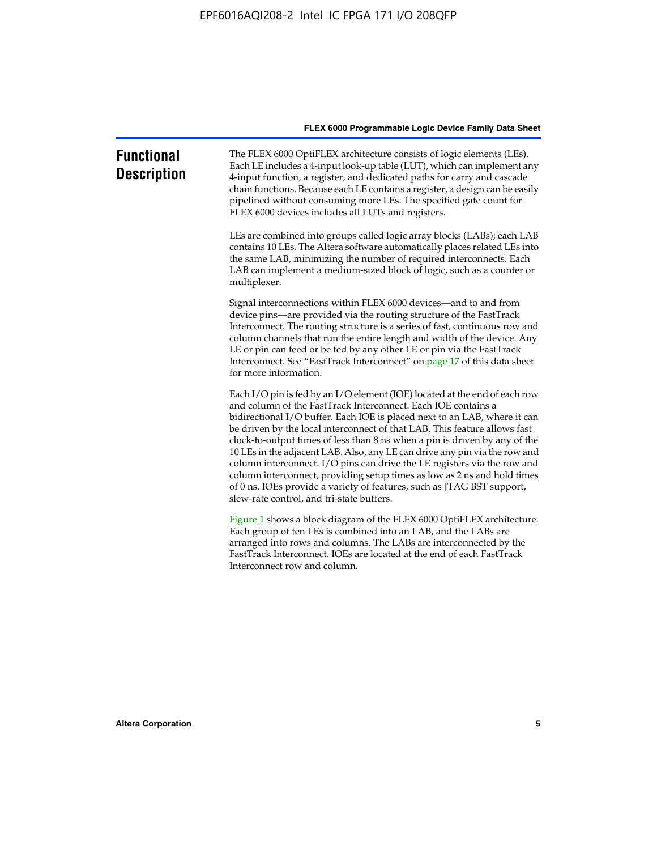| <b>Functional</b><br><b>Description</b> | The FLEX 6000 OptiFLEX architecture consists of logic elements (LEs).<br>Each LE includes a 4-input look-up table (LUT), which can implement any<br>4-input function, a register, and dedicated paths for carry and cascade<br>chain functions. Because each LE contains a register, a design can be easily<br>pipelined without consuming more LEs. The specified gate count for<br>FLEX 6000 devices includes all LUTs and registers.                                                                                                                                                                                                                                                                                                          |
|-----------------------------------------|--------------------------------------------------------------------------------------------------------------------------------------------------------------------------------------------------------------------------------------------------------------------------------------------------------------------------------------------------------------------------------------------------------------------------------------------------------------------------------------------------------------------------------------------------------------------------------------------------------------------------------------------------------------------------------------------------------------------------------------------------|
|                                         | LEs are combined into groups called logic array blocks (LABs); each LAB<br>contains 10 LEs. The Altera software automatically places related LEs into<br>the same LAB, minimizing the number of required interconnects. Each<br>LAB can implement a medium-sized block of logic, such as a counter or<br>multiplexer.                                                                                                                                                                                                                                                                                                                                                                                                                            |
|                                         | Signal interconnections within FLEX 6000 devices—and to and from<br>device pins—are provided via the routing structure of the FastTrack<br>Interconnect. The routing structure is a series of fast, continuous row and<br>column channels that run the entire length and width of the device. Any<br>LE or pin can feed or be fed by any other LE or pin via the FastTrack<br>Interconnect. See "FastTrack Interconnect" on page 17 of this data sheet<br>for more information.                                                                                                                                                                                                                                                                  |
|                                         | Each I/O pin is fed by an I/O element (IOE) located at the end of each row<br>and column of the FastTrack Interconnect. Each IOE contains a<br>bidirectional I/O buffer. Each IOE is placed next to an LAB, where it can<br>be driven by the local interconnect of that LAB. This feature allows fast<br>clock-to-output times of less than 8 ns when a pin is driven by any of the<br>10 LEs in the adjacent LAB. Also, any LE can drive any pin via the row and<br>column interconnect. I/O pins can drive the LE registers via the row and<br>column interconnect, providing setup times as low as 2 ns and hold times<br>of 0 ns. IOEs provide a variety of features, such as JTAG BST support,<br>slew-rate control, and tri-state buffers. |
|                                         | Figure 1 shows a block diagram of the FLEX 6000 OptiFLEX architecture.<br>Each group of ten LEs is combined into an LAB, and the LABs are<br>arranged into rows and columns. The LABs are interconnected by the<br>FastTrack Interconnect. IOEs are located at the end of each FastTrack<br>Interconnect row and column.                                                                                                                                                                                                                                                                                                                                                                                                                         |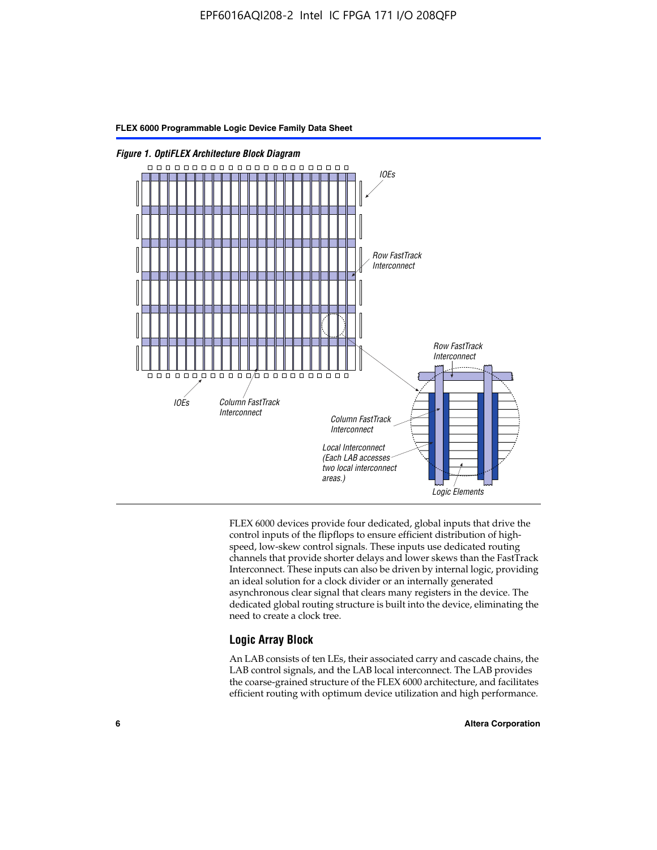

FLEX 6000 devices provide four dedicated, global inputs that drive the control inputs of the flipflops to ensure efficient distribution of highspeed, low-skew control signals. These inputs use dedicated routing channels that provide shorter delays and lower skews than the FastTrack Interconnect. These inputs can also be driven by internal logic, providing an ideal solution for a clock divider or an internally generated asynchronous clear signal that clears many registers in the device. The dedicated global routing structure is built into the device, eliminating the need to create a clock tree.

#### **Logic Array Block**

An LAB consists of ten LEs, their associated carry and cascade chains, the LAB control signals, and the LAB local interconnect. The LAB provides the coarse-grained structure of the FLEX 6000 architecture, and facilitates efficient routing with optimum device utilization and high performance.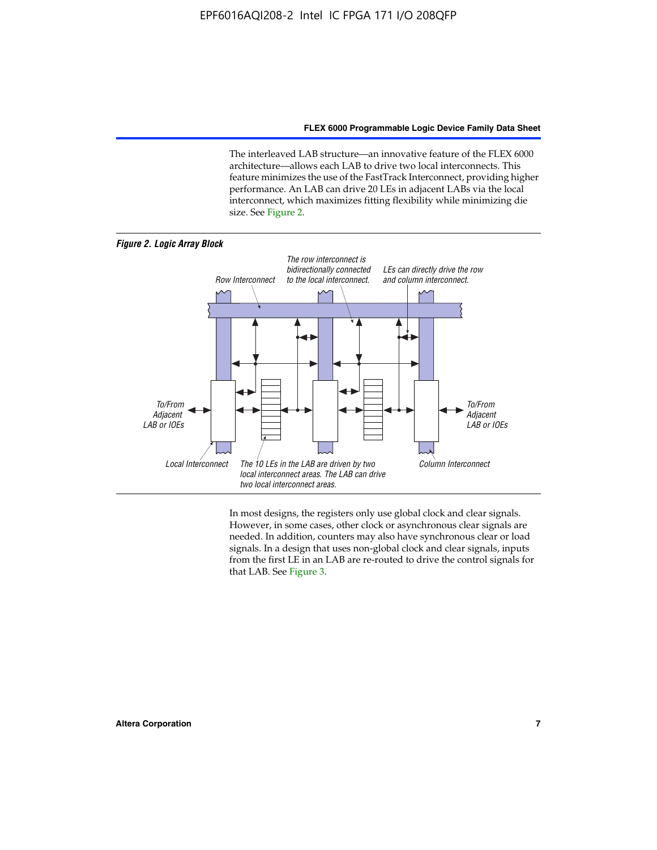The interleaved LAB structure—an innovative feature of the FLEX 6000 architecture—allows each LAB to drive two local interconnects. This feature minimizes the use of the FastTrack Interconnect, providing higher performance. An LAB can drive 20 LEs in adjacent LABs via the local interconnect, which maximizes fitting flexibility while minimizing die size. See Figure 2.



In most designs, the registers only use global clock and clear signals. However, in some cases, other clock or asynchronous clear signals are needed. In addition, counters may also have synchronous clear or load signals. In a design that uses non-global clock and clear signals, inputs from the first LE in an LAB are re-routed to drive the control signals for that LAB. See Figure 3.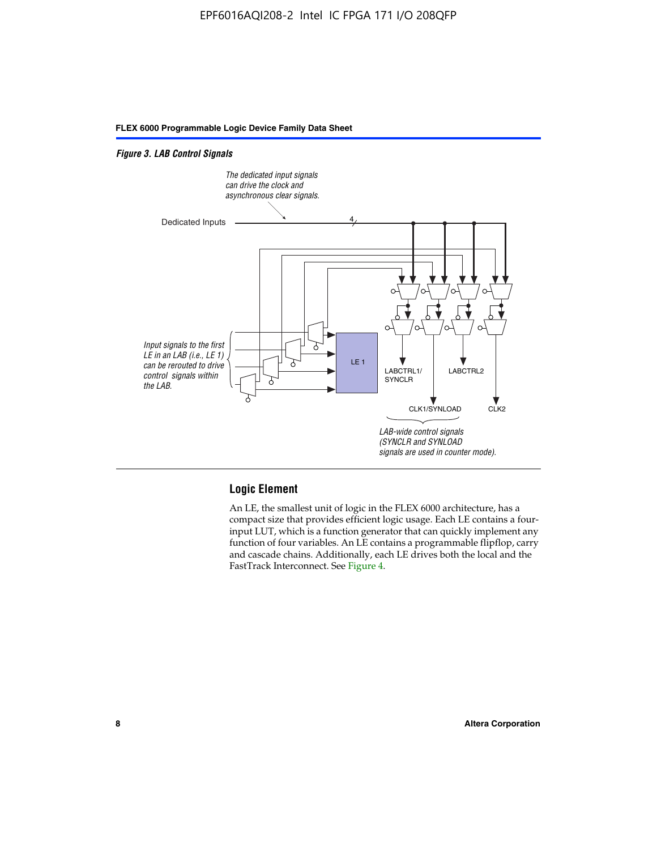#### *Figure 3. LAB Control Signals*



#### **Logic Element**

An LE, the smallest unit of logic in the FLEX 6000 architecture, has a compact size that provides efficient logic usage. Each LE contains a fourinput LUT, which is a function generator that can quickly implement any function of four variables. An LE contains a programmable flipflop, carry and cascade chains. Additionally, each LE drives both the local and the FastTrack Interconnect. See Figure 4.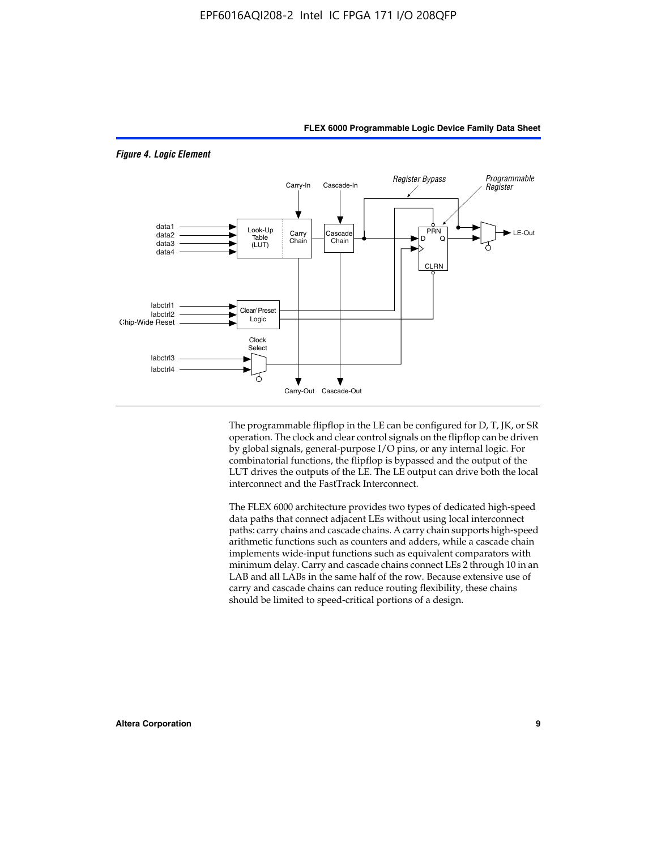

*Figure 4. Logic Element*

The programmable flipflop in the LE can be configured for D, T, JK, or SR operation. The clock and clear control signals on the flipflop can be driven by global signals, general-purpose I/O pins, or any internal logic. For combinatorial functions, the flipflop is bypassed and the output of the LUT drives the outputs of the LE. The LE output can drive both the local interconnect and the FastTrack Interconnect.

**FLEX 6000 Programmable Logic Device Family Data Sheet**

The FLEX 6000 architecture provides two types of dedicated high-speed data paths that connect adjacent LEs without using local interconnect paths: carry chains and cascade chains. A carry chain supports high-speed arithmetic functions such as counters and adders, while a cascade chain implements wide-input functions such as equivalent comparators with minimum delay. Carry and cascade chains connect LEs 2 through 10 in an LAB and all LABs in the same half of the row. Because extensive use of carry and cascade chains can reduce routing flexibility, these chains should be limited to speed-critical portions of a design.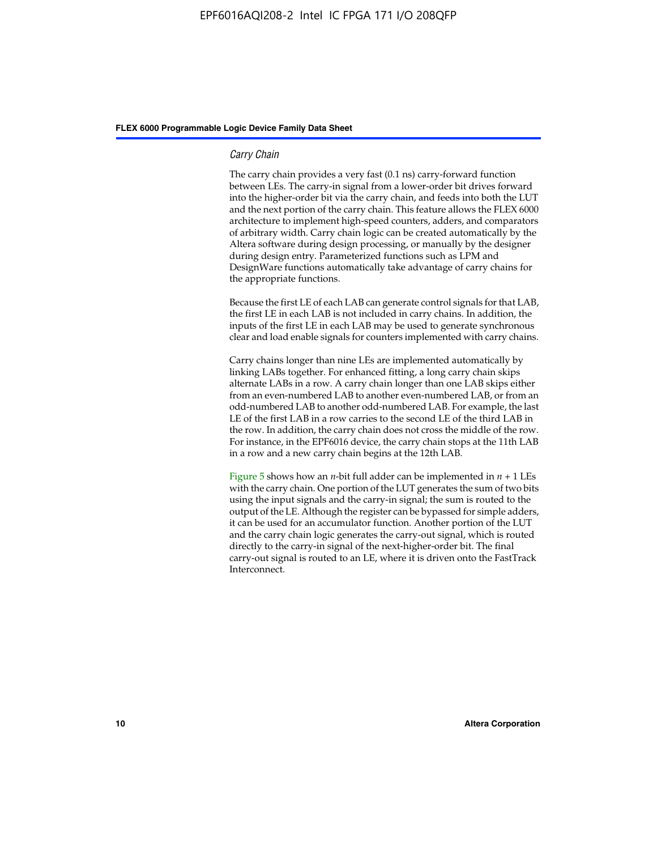#### *Carry Chain*

The carry chain provides a very fast (0.1 ns) carry-forward function between LEs. The carry-in signal from a lower-order bit drives forward into the higher-order bit via the carry chain, and feeds into both the LUT and the next portion of the carry chain. This feature allows the FLEX 6000 architecture to implement high-speed counters, adders, and comparators of arbitrary width. Carry chain logic can be created automatically by the Altera software during design processing, or manually by the designer during design entry. Parameterized functions such as LPM and DesignWare functions automatically take advantage of carry chains for the appropriate functions.

Because the first LE of each LAB can generate control signals for that LAB, the first LE in each LAB is not included in carry chains. In addition, the inputs of the first LE in each LAB may be used to generate synchronous clear and load enable signals for counters implemented with carry chains.

Carry chains longer than nine LEs are implemented automatically by linking LABs together. For enhanced fitting, a long carry chain skips alternate LABs in a row. A carry chain longer than one LAB skips either from an even-numbered LAB to another even-numbered LAB, or from an odd-numbered LAB to another odd-numbered LAB. For example, the last LE of the first LAB in a row carries to the second LE of the third LAB in the row. In addition, the carry chain does not cross the middle of the row. For instance, in the EPF6016 device, the carry chain stops at the 11th LAB in a row and a new carry chain begins at the 12th LAB.

Figure 5 shows how an *n*-bit full adder can be implemented in  $n + 1$  LEs with the carry chain. One portion of the LUT generates the sum of two bits using the input signals and the carry-in signal; the sum is routed to the output of the LE. Although the register can be bypassed for simple adders, it can be used for an accumulator function. Another portion of the LUT and the carry chain logic generates the carry-out signal, which is routed directly to the carry-in signal of the next-higher-order bit. The final carry-out signal is routed to an LE, where it is driven onto the FastTrack Interconnect.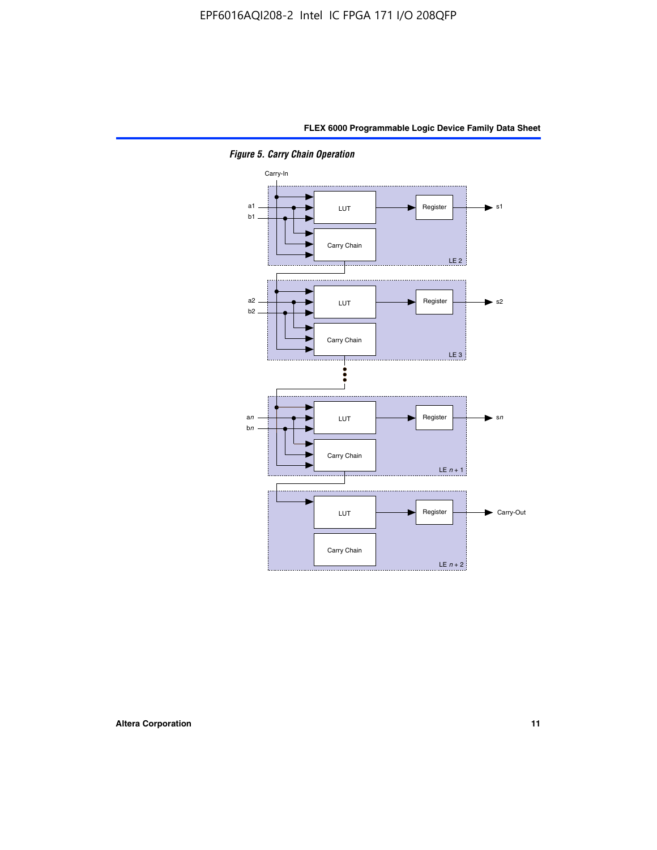

*Figure 5. Carry Chain Operation*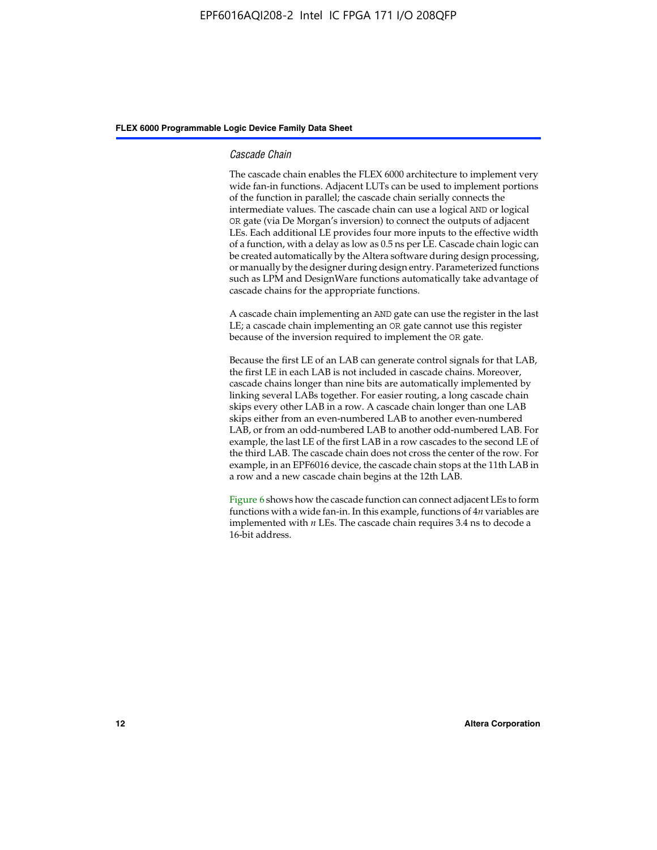#### *Cascade Chain*

The cascade chain enables the FLEX 6000 architecture to implement very wide fan-in functions. Adjacent LUTs can be used to implement portions of the function in parallel; the cascade chain serially connects the intermediate values. The cascade chain can use a logical AND or logical OR gate (via De Morgan's inversion) to connect the outputs of adjacent LEs. Each additional LE provides four more inputs to the effective width of a function, with a delay as low as 0.5 ns per LE. Cascade chain logic can be created automatically by the Altera software during design processing, or manually by the designer during design entry. Parameterized functions such as LPM and DesignWare functions automatically take advantage of cascade chains for the appropriate functions.

A cascade chain implementing an AND gate can use the register in the last LE; a cascade chain implementing an OR gate cannot use this register because of the inversion required to implement the OR gate.

Because the first LE of an LAB can generate control signals for that LAB, the first LE in each LAB is not included in cascade chains. Moreover, cascade chains longer than nine bits are automatically implemented by linking several LABs together. For easier routing, a long cascade chain skips every other LAB in a row. A cascade chain longer than one LAB skips either from an even-numbered LAB to another even-numbered LAB, or from an odd-numbered LAB to another odd-numbered LAB. For example, the last LE of the first LAB in a row cascades to the second LE of the third LAB. The cascade chain does not cross the center of the row. For example, in an EPF6016 device, the cascade chain stops at the 11th LAB in a row and a new cascade chain begins at the 12th LAB.

Figure 6 shows how the cascade function can connect adjacent LEs to form functions with a wide fan-in. In this example, functions of 4*n* variables are implemented with *n* LEs. The cascade chain requires 3.4 ns to decode a 16-bit address.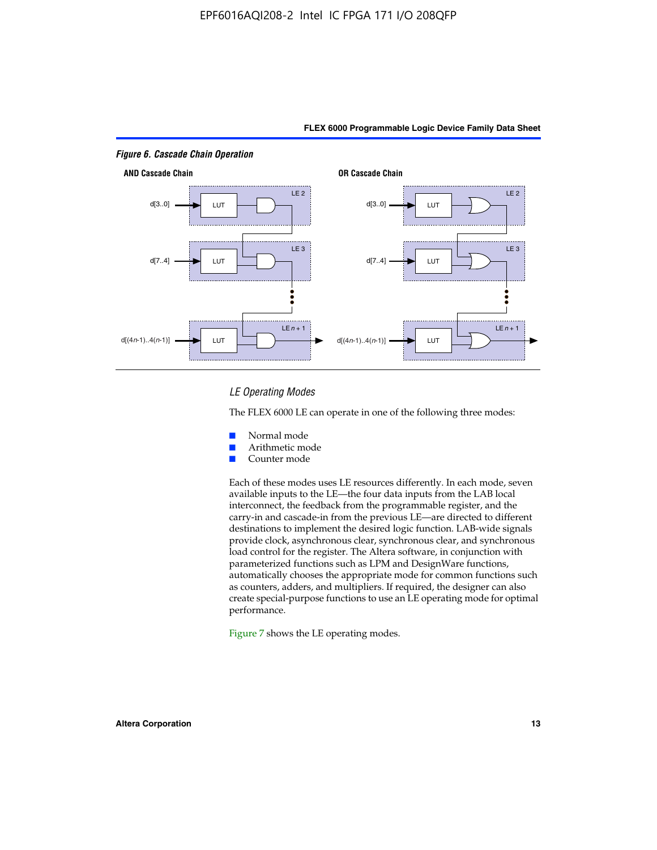

#### *LE Operating Modes*

The FLEX 6000 LE can operate in one of the following three modes:

- Normal mode
- Arithmetic mode
- Counter mode

Each of these modes uses LE resources differently. In each mode, seven available inputs to the LE—the four data inputs from the LAB local interconnect, the feedback from the programmable register, and the carry-in and cascade-in from the previous LE—are directed to different destinations to implement the desired logic function. LAB-wide signals provide clock, asynchronous clear, synchronous clear, and synchronous load control for the register. The Altera software, in conjunction with parameterized functions such as LPM and DesignWare functions, automatically chooses the appropriate mode for common functions such as counters, adders, and multipliers. If required, the designer can also create special-purpose functions to use an LE operating mode for optimal performance.

Figure 7 shows the LE operating modes.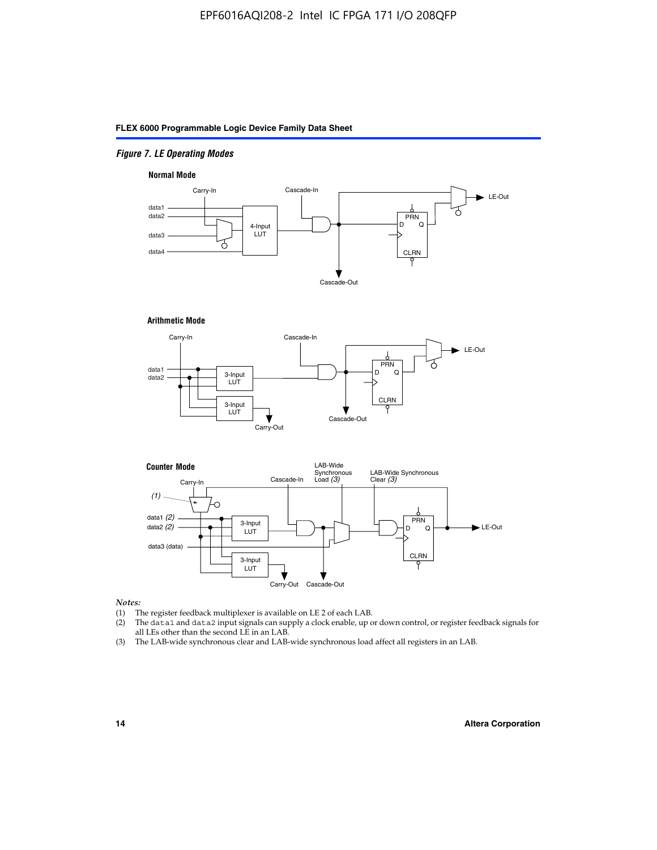#### *Figure 7. LE Operating Modes*

#### **Normal Mode**



**Arithmetic Mode**





#### *Notes:*

- (1) The register feedback multiplexer is available on LE 2 of each LAB.
- (2) The data1 and data2 input signals can supply a clock enable, up or down control, or register feedback signals for all LEs other than the second LE in an LAB.
- (3) The LAB-wide synchronous clear and LAB-wide synchronous load affect all registers in an LAB.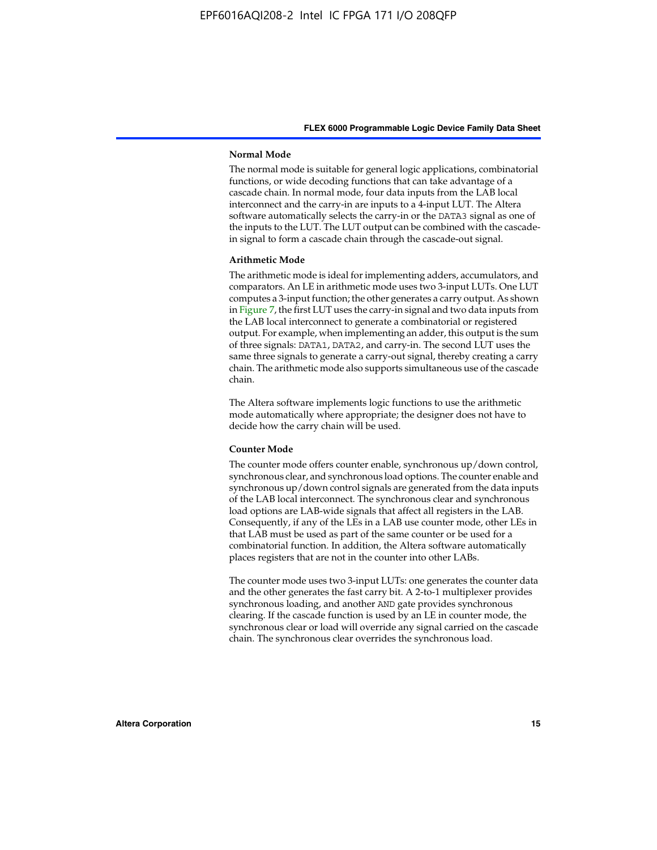#### **Normal Mode**

The normal mode is suitable for general logic applications, combinatorial functions, or wide decoding functions that can take advantage of a cascade chain. In normal mode, four data inputs from the LAB local interconnect and the carry-in are inputs to a 4-input LUT. The Altera software automatically selects the carry-in or the DATA3 signal as one of the inputs to the LUT. The LUT output can be combined with the cascadein signal to form a cascade chain through the cascade-out signal.

#### **Arithmetic Mode**

The arithmetic mode is ideal for implementing adders, accumulators, and comparators. An LE in arithmetic mode uses two 3-input LUTs. One LUT computes a 3-input function; the other generates a carry output. As shown in Figure 7, the first LUT uses the carry-in signal and two data inputs from the LAB local interconnect to generate a combinatorial or registered output. For example, when implementing an adder, this output is the sum of three signals: DATA1, DATA2, and carry-in. The second LUT uses the same three signals to generate a carry-out signal, thereby creating a carry chain. The arithmetic mode also supports simultaneous use of the cascade chain.

The Altera software implements logic functions to use the arithmetic mode automatically where appropriate; the designer does not have to decide how the carry chain will be used.

#### **Counter Mode**

The counter mode offers counter enable, synchronous up/down control, synchronous clear, and synchronous load options. The counter enable and synchronous up/down control signals are generated from the data inputs of the LAB local interconnect. The synchronous clear and synchronous load options are LAB-wide signals that affect all registers in the LAB. Consequently, if any of the LEs in a LAB use counter mode, other LEs in that LAB must be used as part of the same counter or be used for a combinatorial function. In addition, the Altera software automatically places registers that are not in the counter into other LABs.

The counter mode uses two 3-input LUTs: one generates the counter data and the other generates the fast carry bit. A 2-to-1 multiplexer provides synchronous loading, and another AND gate provides synchronous clearing. If the cascade function is used by an LE in counter mode, the synchronous clear or load will override any signal carried on the cascade chain. The synchronous clear overrides the synchronous load.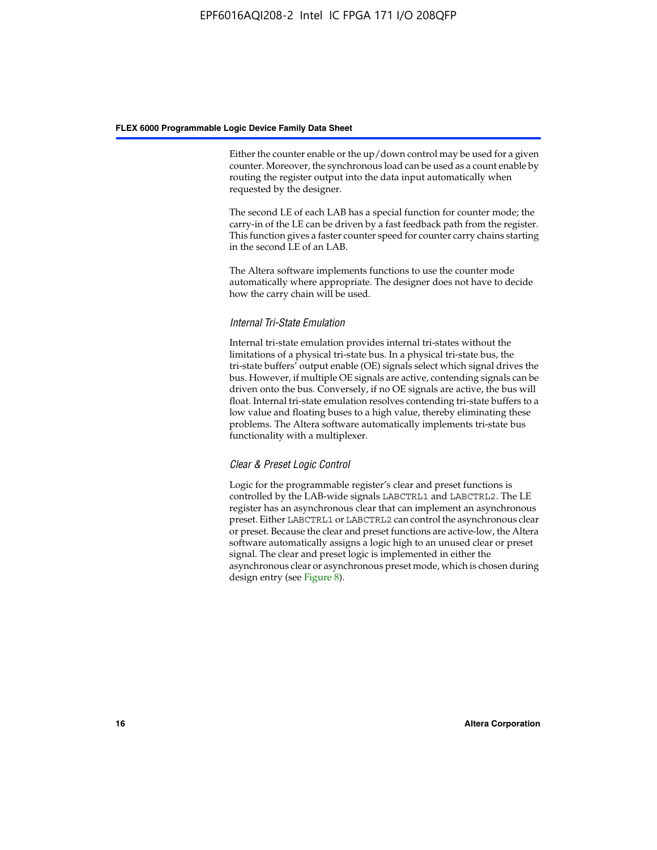Either the counter enable or the up/down control may be used for a given counter. Moreover, the synchronous load can be used as a count enable by routing the register output into the data input automatically when requested by the designer.

The second LE of each LAB has a special function for counter mode; the carry-in of the LE can be driven by a fast feedback path from the register. This function gives a faster counter speed for counter carry chains starting in the second LE of an LAB.

The Altera software implements functions to use the counter mode automatically where appropriate. The designer does not have to decide how the carry chain will be used.

#### *Internal Tri-State Emulation*

Internal tri-state emulation provides internal tri-states without the limitations of a physical tri-state bus. In a physical tri-state bus, the tri-state buffers' output enable (OE) signals select which signal drives the bus. However, if multiple OE signals are active, contending signals can be driven onto the bus. Conversely, if no OE signals are active, the bus will float. Internal tri-state emulation resolves contending tri-state buffers to a low value and floating buses to a high value, thereby eliminating these problems. The Altera software automatically implements tri-state bus functionality with a multiplexer.

#### *Clear & Preset Logic Control*

Logic for the programmable register's clear and preset functions is controlled by the LAB-wide signals LABCTRL1 and LABCTRL2. The LE register has an asynchronous clear that can implement an asynchronous preset. Either LABCTRL1 or LABCTRL2 can control the asynchronous clear or preset. Because the clear and preset functions are active-low, the Altera software automatically assigns a logic high to an unused clear or preset signal. The clear and preset logic is implemented in either the asynchronous clear or asynchronous preset mode, which is chosen during design entry (see Figure 8).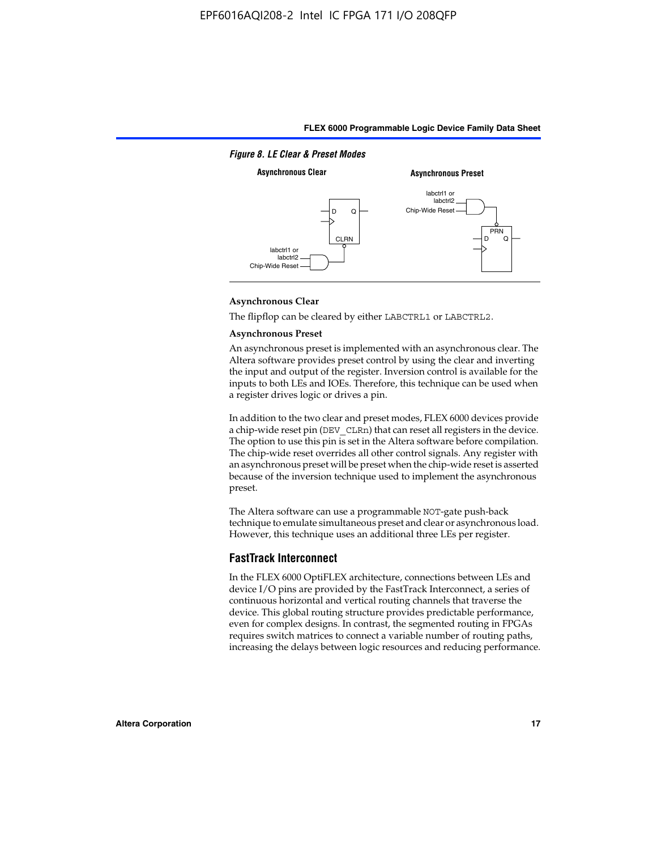

#### **Asynchronous Clear**

The flipflop can be cleared by either LABCTRL1 or LABCTRL2.

#### **Asynchronous Preset**

An asynchronous preset is implemented with an asynchronous clear. The Altera software provides preset control by using the clear and inverting the input and output of the register. Inversion control is available for the inputs to both LEs and IOEs. Therefore, this technique can be used when a register drives logic or drives a pin.

In addition to the two clear and preset modes, FLEX 6000 devices provide a chip-wide reset pin (DEV\_CLRn) that can reset all registers in the device. The option to use this pin is set in the Altera software before compilation. The chip-wide reset overrides all other control signals. Any register with an asynchronous preset will be preset when the chip-wide reset is asserted because of the inversion technique used to implement the asynchronous preset.

The Altera software can use a programmable NOT-gate push-back technique to emulate simultaneous preset and clear or asynchronous load. However, this technique uses an additional three LEs per register.

#### **FastTrack Interconnect**

In the FLEX 6000 OptiFLEX architecture, connections between LEs and device I/O pins are provided by the FastTrack Interconnect, a series of continuous horizontal and vertical routing channels that traverse the device. This global routing structure provides predictable performance, even for complex designs. In contrast, the segmented routing in FPGAs requires switch matrices to connect a variable number of routing paths, increasing the delays between logic resources and reducing performance.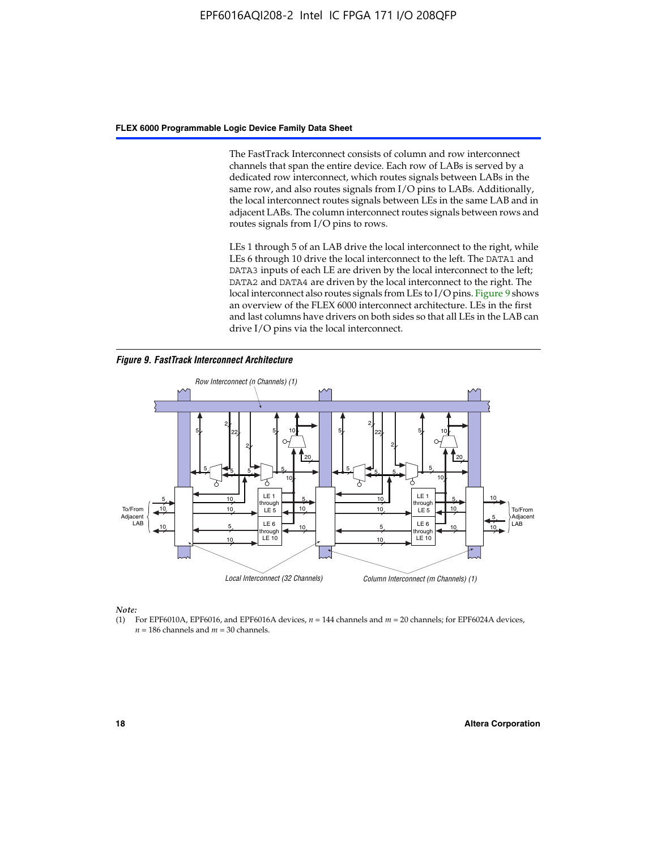The FastTrack Interconnect consists of column and row interconnect channels that span the entire device. Each row of LABs is served by a dedicated row interconnect, which routes signals between LABs in the same row, and also routes signals from I/O pins to LABs. Additionally, the local interconnect routes signals between LEs in the same LAB and in adjacent LABs. The column interconnect routes signals between rows and routes signals from I/O pins to rows.

LEs 1 through 5 of an LAB drive the local interconnect to the right, while LEs 6 through 10 drive the local interconnect to the left. The DATA1 and DATA3 inputs of each LE are driven by the local interconnect to the left; DATA2 and DATA4 are driven by the local interconnect to the right. The local interconnect also routes signals from LEs to I/O pins. Figure 9 shows an overview of the FLEX 6000 interconnect architecture. LEs in the first and last columns have drivers on both sides so that all LEs in the LAB can drive I/O pins via the local interconnect.

*Figure 9. FastTrack Interconnect Architecture*



*Note:*

(1) For EPF6010A, EPF6016, and EPF6016A devices, *n* = 144 channels and *m* = 20 channels; for EPF6024A devices,  $n = 186$  channels and  $m = 30$  channels.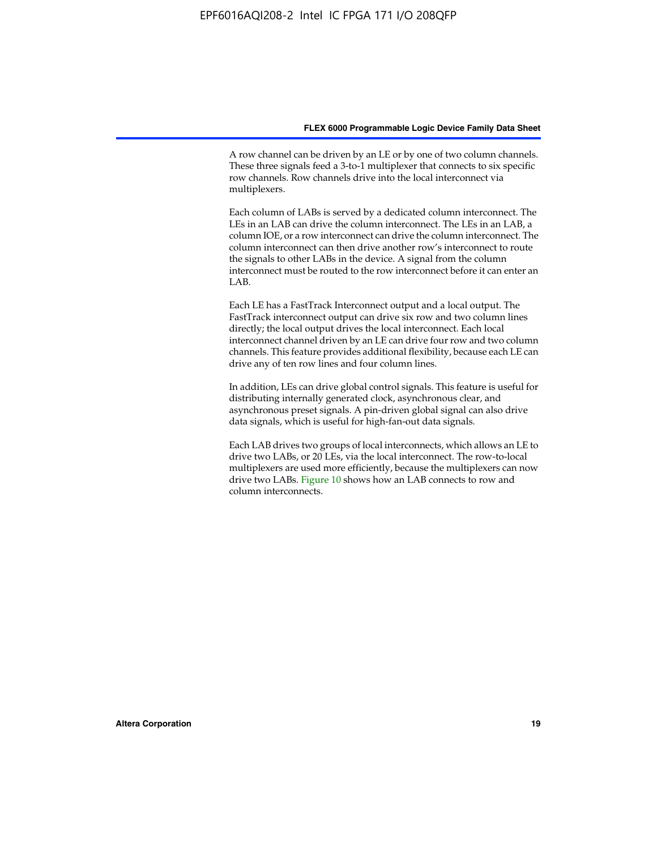A row channel can be driven by an LE or by one of two column channels. These three signals feed a 3-to-1 multiplexer that connects to six specific row channels. Row channels drive into the local interconnect via multiplexers.

Each column of LABs is served by a dedicated column interconnect. The LEs in an LAB can drive the column interconnect. The LEs in an LAB, a column IOE, or a row interconnect can drive the column interconnect. The column interconnect can then drive another row's interconnect to route the signals to other LABs in the device. A signal from the column interconnect must be routed to the row interconnect before it can enter an  $LAB$ 

Each LE has a FastTrack Interconnect output and a local output. The FastTrack interconnect output can drive six row and two column lines directly; the local output drives the local interconnect. Each local interconnect channel driven by an LE can drive four row and two column channels. This feature provides additional flexibility, because each LE can drive any of ten row lines and four column lines.

In addition, LEs can drive global control signals. This feature is useful for distributing internally generated clock, asynchronous clear, and asynchronous preset signals. A pin-driven global signal can also drive data signals, which is useful for high-fan-out data signals.

Each LAB drives two groups of local interconnects, which allows an LE to drive two LABs, or 20 LEs, via the local interconnect. The row-to-local multiplexers are used more efficiently, because the multiplexers can now drive two LABs. Figure 10 shows how an LAB connects to row and column interconnects.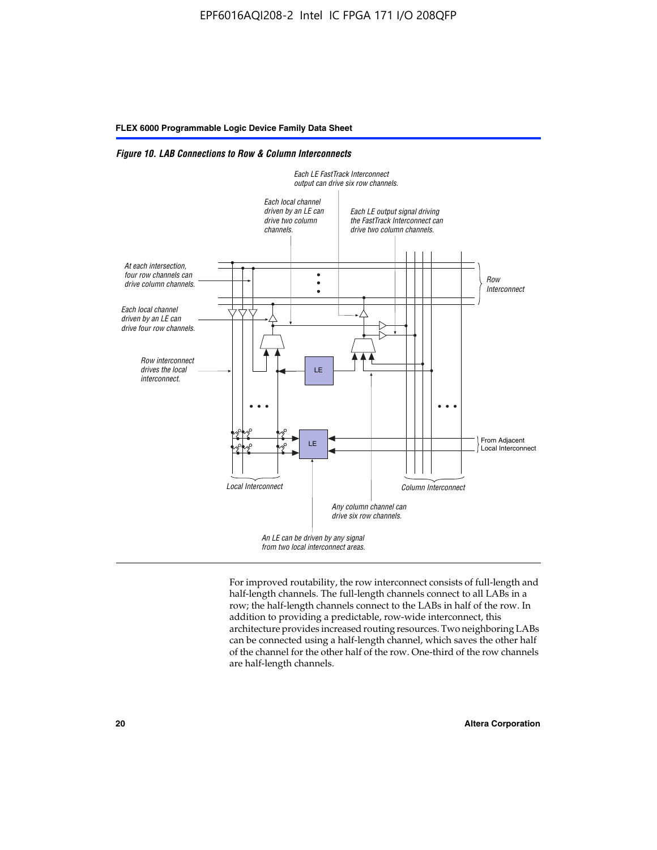*Figure 10. LAB Connections to Row & Column Interconnects*



For improved routability, the row interconnect consists of full-length and half-length channels. The full-length channels connect to all LABs in a row; the half-length channels connect to the LABs in half of the row. In addition to providing a predictable, row-wide interconnect, this architecture provides increased routing resources. Two neighboring LABs can be connected using a half-length channel, which saves the other half of the channel for the other half of the row. One-third of the row channels are half-length channels.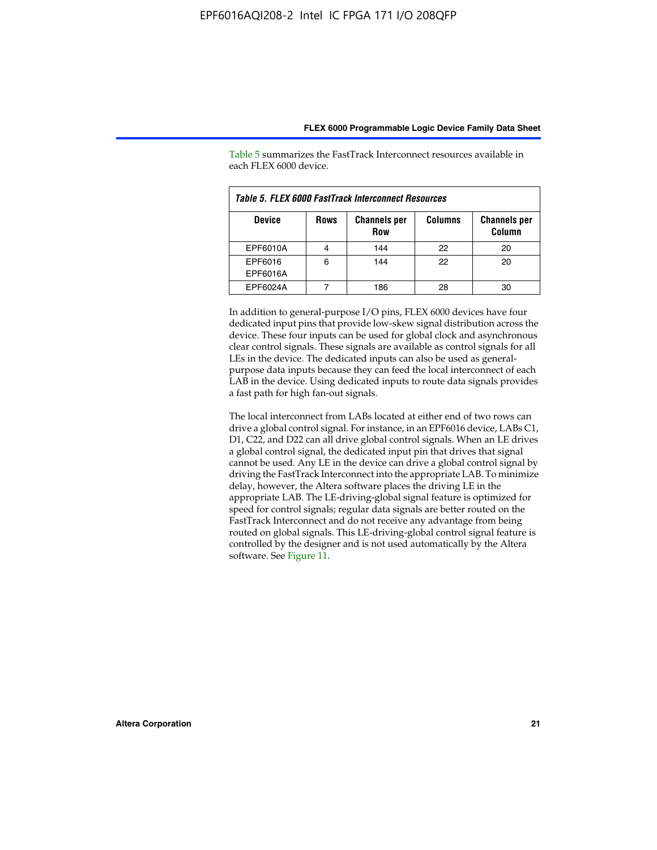| Table 5. FLEX 6000 FastTrack Interconnect Resources |             |                            |                |                               |  |
|-----------------------------------------------------|-------------|----------------------------|----------------|-------------------------------|--|
| <b>Device</b>                                       | <b>Rows</b> | <b>Channels per</b><br>Row | <b>Columns</b> | <b>Channels per</b><br>Column |  |
| EPF6010A                                            |             | 144                        | 22             | 20                            |  |
| EPF6016<br>EPF6016A                                 | 6           | 144                        | 22             | 20                            |  |
| EPF6024A                                            |             | 186                        | 28             | 30                            |  |

Table 5 summarizes the FastTrack Interconnect resources available in each FLEX 6000 device.

In addition to general-purpose I/O pins, FLEX 6000 devices have four dedicated input pins that provide low-skew signal distribution across the device. These four inputs can be used for global clock and asynchronous clear control signals. These signals are available as control signals for all LEs in the device. The dedicated inputs can also be used as generalpurpose data inputs because they can feed the local interconnect of each LAB in the device. Using dedicated inputs to route data signals provides a fast path for high fan-out signals.

The local interconnect from LABs located at either end of two rows can drive a global control signal. For instance, in an EPF6016 device, LABs C1, D1, C22, and D22 can all drive global control signals. When an LE drives a global control signal, the dedicated input pin that drives that signal cannot be used. Any LE in the device can drive a global control signal by driving the FastTrack Interconnect into the appropriate LAB. To minimize delay, however, the Altera software places the driving LE in the appropriate LAB. The LE-driving-global signal feature is optimized for speed for control signals; regular data signals are better routed on the FastTrack Interconnect and do not receive any advantage from being routed on global signals. This LE-driving-global control signal feature is controlled by the designer and is not used automatically by the Altera software. See Figure 11.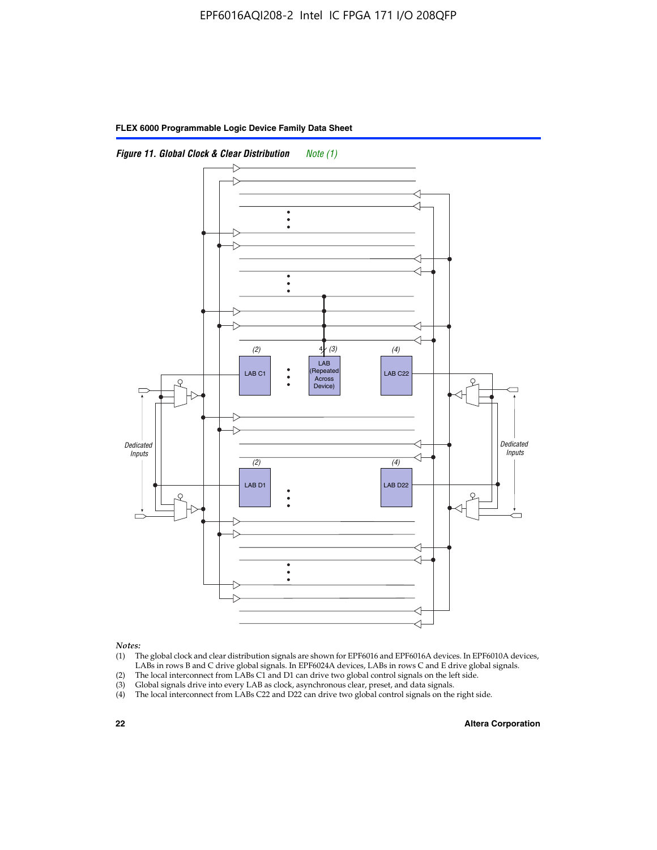



*Notes:*

- (1) The global clock and clear distribution signals are shown for EPF6016 and EPF6016A devices. In EPF6010A devices, LABs in rows B and C drive global signals. In EPF6024A devices, LABs in rows C and E drive global signals.
- (2) The local interconnect from LABs C1 and D1 can drive two global control signals on the left side.
- (3) Global signals drive into every LAB as clock, asynchronous clear, preset, and data signals.
- (4) The local interconnect from LABs C22 and D22 can drive two global control signals on the right side.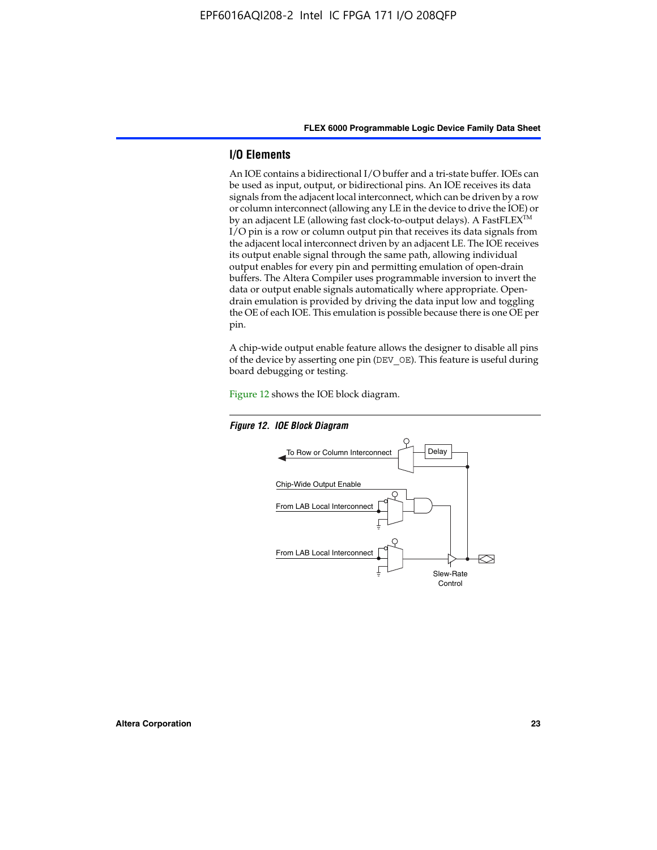#### **I/O Elements**

An IOE contains a bidirectional I/O buffer and a tri-state buffer. IOEs can be used as input, output, or bidirectional pins. An IOE receives its data signals from the adjacent local interconnect, which can be driven by a row or column interconnect (allowing any LE in the device to drive the IOE) or by an adjacent LE (allowing fast clock-to-output delays). A FastFLEX<sup>™</sup> I/O pin is a row or column output pin that receives its data signals from the adjacent local interconnect driven by an adjacent LE. The IOE receives its output enable signal through the same path, allowing individual output enables for every pin and permitting emulation of open-drain buffers. The Altera Compiler uses programmable inversion to invert the data or output enable signals automatically where appropriate. Opendrain emulation is provided by driving the data input low and toggling the OE of each IOE. This emulation is possible because there is one OE per pin.

A chip-wide output enable feature allows the designer to disable all pins of the device by asserting one pin (DEV\_OE). This feature is useful during board debugging or testing.

Figure 12 shows the IOE block diagram.



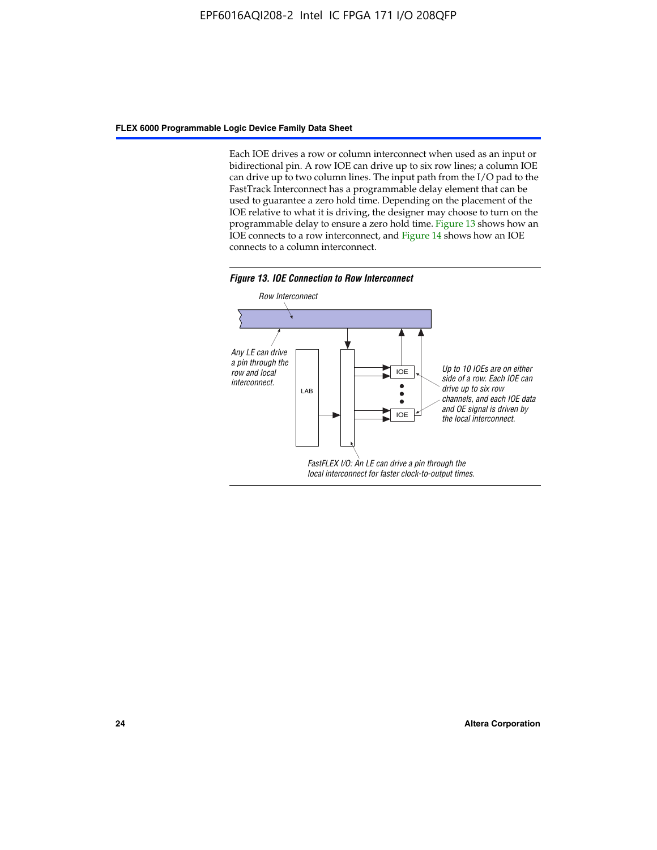Each IOE drives a row or column interconnect when used as an input or bidirectional pin. A row IOE can drive up to six row lines; a column IOE can drive up to two column lines. The input path from the I/O pad to the FastTrack Interconnect has a programmable delay element that can be used to guarantee a zero hold time. Depending on the placement of the IOE relative to what it is driving, the designer may choose to turn on the programmable delay to ensure a zero hold time. Figure 13 shows how an IOE connects to a row interconnect, and Figure 14 shows how an IOE connects to a column interconnect.



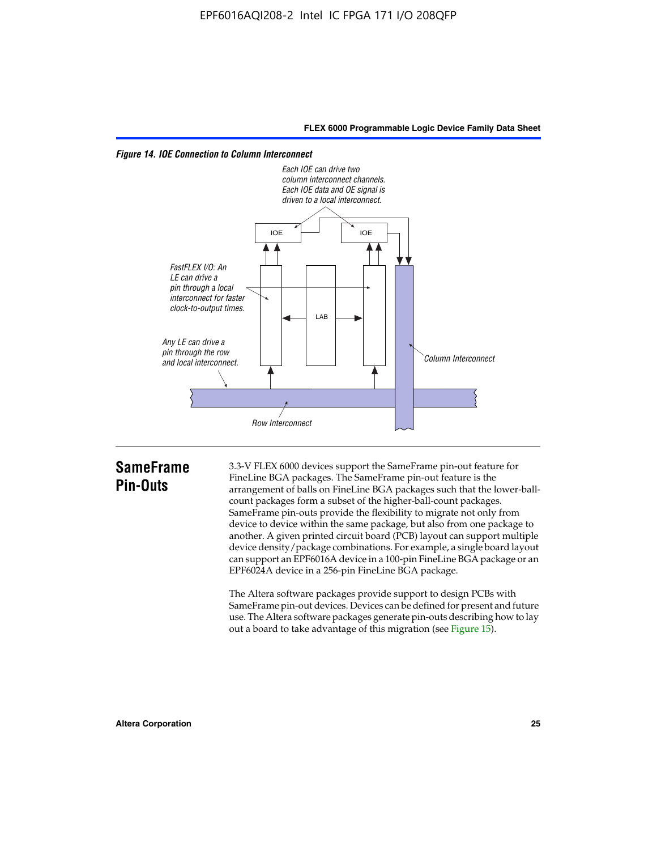



# **SameFrame Pin-Outs**

3.3-V FLEX 6000 devices support the SameFrame pin-out feature for FineLine BGA packages. The SameFrame pin-out feature is the arrangement of balls on FineLine BGA packages such that the lower-ballcount packages form a subset of the higher-ball-count packages. SameFrame pin-outs provide the flexibility to migrate not only from device to device within the same package, but also from one package to another. A given printed circuit board (PCB) layout can support multiple device density/package combinations. For example, a single board layout can support an EPF6016A device in a 100-pin FineLine BGA package or an EPF6024A device in a 256-pin FineLine BGA package.

The Altera software packages provide support to design PCBs with SameFrame pin-out devices. Devices can be defined for present and future use. The Altera software packages generate pin-outs describing how to lay out a board to take advantage of this migration (see Figure 15).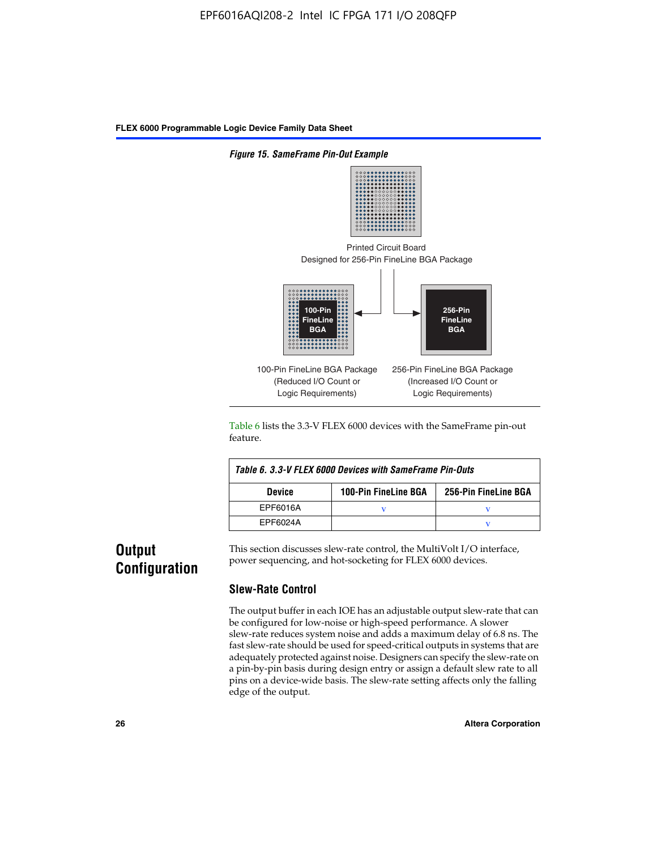

Table 6 lists the 3.3-V FLEX 6000 devices with the SameFrame pin-out feature.

| Table 6, 3.3-V FLEX 6000 Devices with SameFrame Pin-Outs |                             |                      |  |  |  |
|----------------------------------------------------------|-----------------------------|----------------------|--|--|--|
| <b>Device</b>                                            | <b>100-Pin FineLine BGA</b> | 256-Pin FineLine BGA |  |  |  |
| EPF6016A                                                 |                             |                      |  |  |  |
| EPF6024A                                                 |                             |                      |  |  |  |

# **Output Configuration**

This section discusses slew-rate control, the MultiVolt I/O interface, power sequencing, and hot-socketing for FLEX 6000 devices.

#### **Slew-Rate Control**

The output buffer in each IOE has an adjustable output slew-rate that can be configured for low-noise or high-speed performance. A slower slew-rate reduces system noise and adds a maximum delay of 6.8 ns. The fast slew-rate should be used for speed-critical outputs in systems that are adequately protected against noise. Designers can specify the slew-rate on a pin-by-pin basis during design entry or assign a default slew rate to all pins on a device-wide basis. The slew-rate setting affects only the falling edge of the output.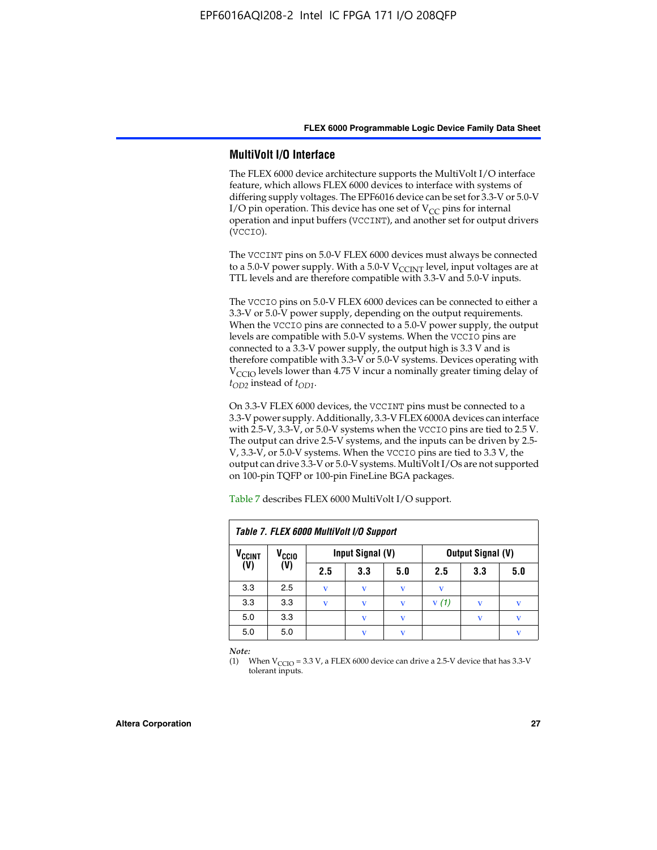#### **MultiVolt I/O Interface**

The FLEX 6000 device architecture supports the MultiVolt I/O interface feature, which allows FLEX 6000 devices to interface with systems of differing supply voltages. The EPF6016 device can be set for 3.3-V or 5.0-V I/O pin operation. This device has one set of  $V_{CC}$  pins for internal operation and input buffers (VCCINT), and another set for output drivers (VCCIO).

The VCCINT pins on 5.0-V FLEX 6000 devices must always be connected to a 5.0-V power supply. With a 5.0-V  $V_{\text{CCINT}}$  level, input voltages are at TTL levels and are therefore compatible with 3.3-V and 5.0-V inputs.

The VCCIO pins on 5.0-V FLEX 6000 devices can be connected to either a 3.3-V or 5.0-V power supply, depending on the output requirements. When the VCCIO pins are connected to a 5.0-V power supply, the output levels are compatible with 5.0-V systems. When the VCCIO pins are connected to a 3.3-V power supply, the output high is 3.3 V and is therefore compatible with 3.3-V or 5.0-V systems. Devices operating with V<sub>CCIO</sub> levels lower than 4.75 V incur a nominally greater timing delay of *tOD2* instead of *tOD1*.

On 3.3-V FLEX 6000 devices, the VCCINT pins must be connected to a 3.3-V power supply. Additionally, 3.3-V FLEX 6000A devices can interface with 2.5-V, 3.3-V, or 5.0-V systems when the VCCIO pins are tied to 2.5 V. The output can drive 2.5-V systems, and the inputs can be driven by 2.5- V, 3.3-V, or 5.0-V systems. When the VCCIO pins are tied to 3.3 V, the output can drive 3.3-V or 5.0-V systems. MultiVolt I/Os are not supported on 100-pin TQFP or 100-pin FineLine BGA packages.

| Table 7. FLEX 6000 MultiVolt I/O Support |                   |     |                  |     |                          |              |     |
|------------------------------------------|-------------------|-----|------------------|-----|--------------------------|--------------|-----|
| <b>V<sub>CCINT</sub></b>                 | V <sub>CCIO</sub> |     | Input Signal (V) |     | <b>Output Signal (V)</b> |              |     |
| (V)                                      | (V)               | 2.5 | 3.3              | 5.0 | 2.5                      | 3.3          | 5.0 |
| 3.3                                      | 2.5               | v   | V                | V   | v                        |              |     |
| 3.3                                      | 3.3               | v   | v                | v   | V(1)                     |              | v   |
| 5.0                                      | 3.3               |     | $\mathbf v$      | V   |                          | $\mathbf{v}$ | v   |
| 5.0                                      | 5.0               |     | $\mathbf v$      | v   |                          |              | v   |

Table 7 describes FLEX 6000 MultiVolt I/O support.

*Note:*

(1) When  $V_{\text{CCIO}} = 3.3 \text{ V}$ , a FLEX 6000 device can drive a 2.5-V device that has 3.3-V tolerant inputs.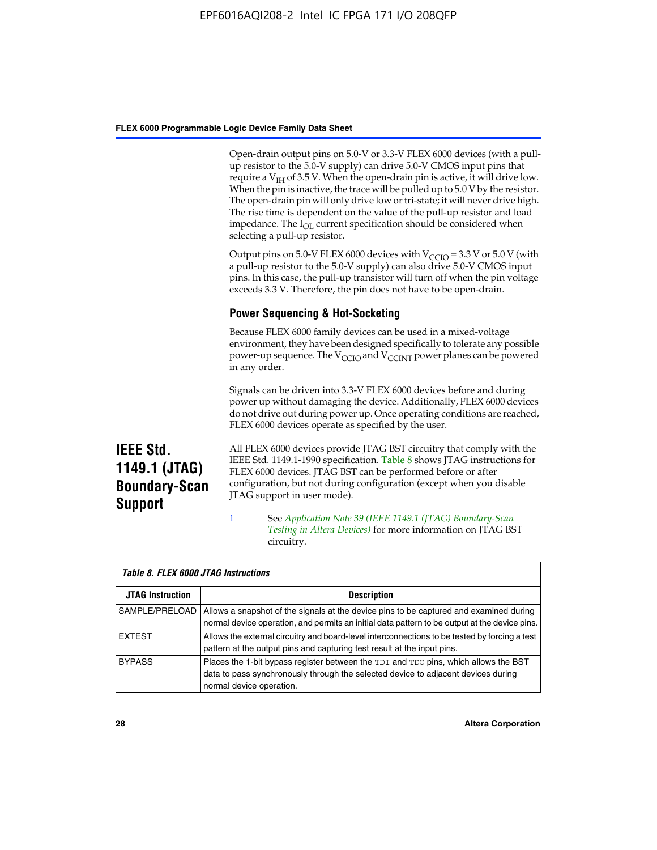Open-drain output pins on 5.0-V or 3.3-V FLEX 6000 devices (with a pullup resistor to the 5.0-V supply) can drive 5.0-V CMOS input pins that require a  $V_{IH}$  of 3.5 V. When the open-drain pin is active, it will drive low. When the pin is inactive, the trace will be pulled up to 5.0 V by the resistor. The open-drain pin will only drive low or tri-state; it will never drive high. The rise time is dependent on the value of the pull-up resistor and load impedance. The I<sub>OL</sub> current specification should be considered when selecting a pull-up resistor.

Output pins on 5.0-V FLEX 6000 devices with  $V_{\text{CCIO}} = 3.3$  V or 5.0 V (with a pull-up resistor to the 5.0-V supply) can also drive 5.0-V CMOS input pins. In this case, the pull-up transistor will turn off when the pin voltage exceeds 3.3 V. Therefore, the pin does not have to be open-drain.

## **Power Sequencing & Hot-Socketing**

Because FLEX 6000 family devices can be used in a mixed-voltage environment, they have been designed specifically to tolerate any possible power-up sequence. The  $V_{\text{CCIO}}$  and  $V_{\text{CCINT}}$  power planes can be powered in any order.

Signals can be driven into 3.3-V FLEX 6000 devices before and during power up without damaging the device. Additionally, FLEX 6000 devices do not drive out during power up. Once operating conditions are reached, FLEX 6000 devices operate as specified by the user.

**IEEE Std. 1149.1 (JTAG) Boundary-Scan Support**

All FLEX 6000 devices provide JTAG BST circuitry that comply with the IEEE Std. 1149.1-1990 specification. Table 8 shows JTAG instructions for FLEX 6000 devices. JTAG BST can be performed before or after configuration, but not during configuration (except when you disable JTAG support in user mode).

1 See *[A](http://www.altera.com/literature/an/an039.pdf)pplication Note 39 (IEEE 1149.1 (JTAG) Boundary-Scan Testing in Altera Devices)* for more information on JTAG BST circuitry.

| Table 8. FLEX 6000 JTAG Instructions |                                                                                                                                                                                                      |  |  |  |  |
|--------------------------------------|------------------------------------------------------------------------------------------------------------------------------------------------------------------------------------------------------|--|--|--|--|
| <b>JTAG Instruction</b>              | <b>Description</b>                                                                                                                                                                                   |  |  |  |  |
| SAMPLE/PRELOAD                       | Allows a snapshot of the signals at the device pins to be captured and examined during<br>normal device operation, and permits an initial data pattern to be output at the device pins.              |  |  |  |  |
| <b>EXTEST</b>                        | Allows the external circuitry and board-level interconnections to be tested by forcing a test<br>pattern at the output pins and capturing test result at the input pins.                             |  |  |  |  |
| <b>BYPASS</b>                        | Places the 1-bit bypass register between the TDI and TDO pins, which allows the BST<br>data to pass synchronously through the selected device to adjacent devices during<br>normal device operation. |  |  |  |  |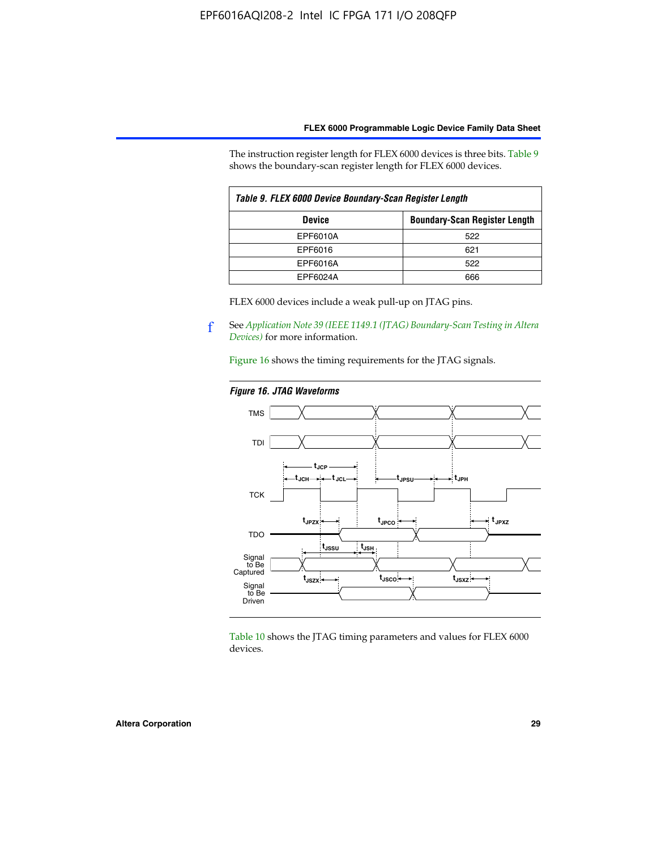The instruction register length for FLEX 6000 devices is three bits. Table 9 shows the boundary-scan register length for FLEX 6000 devices.

| Table 9. FLEX 6000 Device Boundary-Scan Register Length |                                      |  |  |  |
|---------------------------------------------------------|--------------------------------------|--|--|--|
| <b>Device</b>                                           | <b>Boundary-Scan Register Length</b> |  |  |  |
| EPF6010A                                                | 522                                  |  |  |  |
| EPF6016                                                 | 621                                  |  |  |  |
| EPF6016A                                                | 522                                  |  |  |  |
| EPF6024A                                                | 666                                  |  |  |  |

FLEX 6000 devices include a weak pull-up on JTAG pins.

f See *[Application Note 39 \(IEEE 1149.1 \(JTAG\) Boundary-Scan Testing in Altera](http://www.altera.com/literature/an/an039.pdf)  [Devices\)](http://www.altera.com/literature/an/an039.pdf)* for more information.

Figure 16 shows the timing requirements for the JTAG signals.

#### *Figure 16. JTAG Waveforms*



Table 10 shows the JTAG timing parameters and values for FLEX 6000 devices.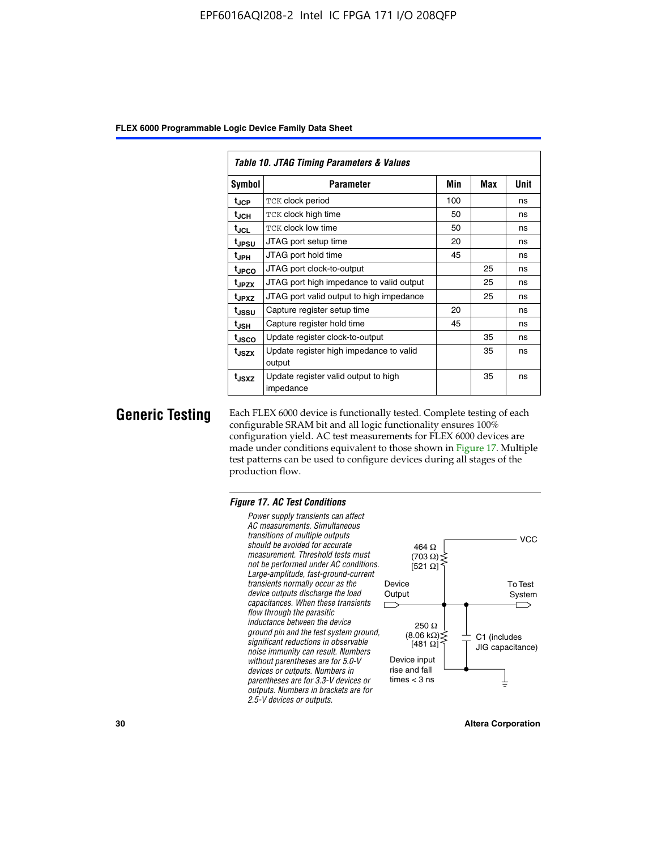| Table 10. JTAG Timing Parameters & Values |                                                   |     |     |             |  |  |  |  |  |  |
|-------------------------------------------|---------------------------------------------------|-----|-----|-------------|--|--|--|--|--|--|
| Symbol                                    | Parameter                                         | Min | Max | <b>Unit</b> |  |  |  |  |  |  |
| t <sub>JCP</sub>                          | TCK clock period                                  | 100 |     | ns          |  |  |  |  |  |  |
| t <sub>JCH</sub>                          | TCK clock high time                               | 50  |     | ns          |  |  |  |  |  |  |
| t <sub>JCL</sub>                          | <b>TCK clock low time</b>                         | 50  |     | ns          |  |  |  |  |  |  |
| t <sub>JPSU</sub>                         | JTAG port setup time                              | 20  |     | ns          |  |  |  |  |  |  |
| $t_{\rm JPH}$                             | JTAG port hold time                               |     |     | ns          |  |  |  |  |  |  |
| <sup>t</sup> JPCO                         | JTAG port clock-to-output                         |     | 25  | ns          |  |  |  |  |  |  |
| t <sub>JPZX</sub>                         | JTAG port high impedance to valid output          |     | 25  | ns          |  |  |  |  |  |  |
| t <sub>JPXZ</sub>                         | JTAG port valid output to high impedance          |     | 25  | ns          |  |  |  |  |  |  |
| tussu                                     | Capture register setup time                       | 20  |     | ns          |  |  |  |  |  |  |
| $t_{\sf JSH}$                             | Capture register hold time                        | 45  |     | ns          |  |  |  |  |  |  |
| tjsco                                     | Update register clock-to-output                   |     | 35  | ns          |  |  |  |  |  |  |
| t <sub>JSZX</sub>                         | Update register high impedance to valid<br>output |     | 35  | ns          |  |  |  |  |  |  |
| t <sub>JSXZ</sub>                         | Update register valid output to high<br>impedance |     | 35  | ns          |  |  |  |  |  |  |

**Generic Testing** Each FLEX 6000 device is functionally tested. Complete testing of each configurable SRAM bit and all logic functionality ensures 100% configuration yield. AC test measurements for FLEX 6000 devices are made under conditions equivalent to those shown in Figure 17. Multiple test patterns can be used to configure devices during all stages of the production flow.

#### *Figure 17. AC Test Conditions*

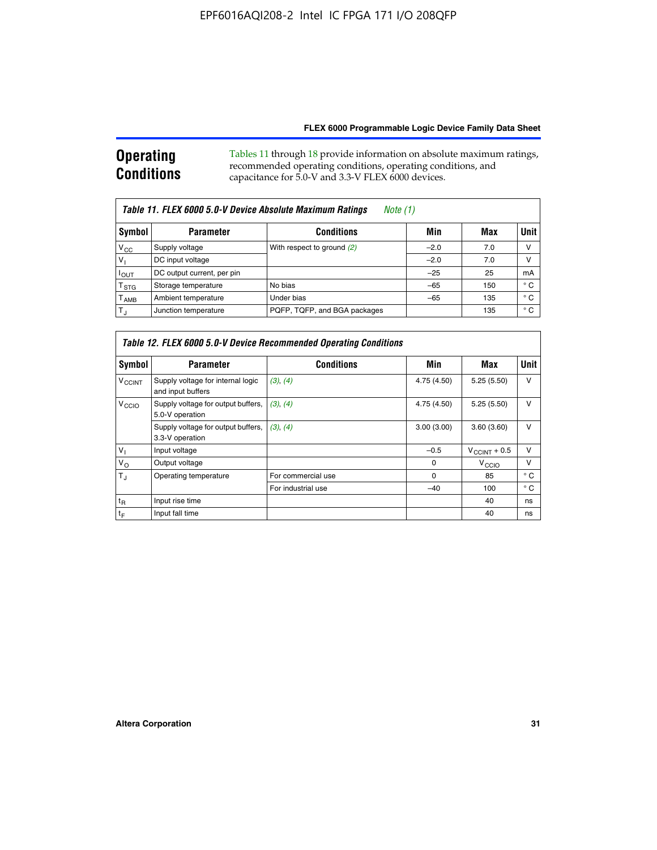#### **Operating Conditions** Tables 11 through 18 provide information on absolute maximum ratings, recommended operating conditions, operating conditions, and capacitance for 5.0-V and 3.3-V FLEX 6000 devices.

| Table 11. FLEX 6000 5.0-V Device Absolute Maximum Ratings<br>Note (1) |                            |                              |        |     |             |  |  |  |  |
|-----------------------------------------------------------------------|----------------------------|------------------------------|--------|-----|-------------|--|--|--|--|
| Symbol                                                                | <b>Parameter</b>           | <b>Conditions</b>            | Min    | Max | <b>Unit</b> |  |  |  |  |
| $V_{CC}$                                                              | Supply voltage             | With respect to ground (2)   | $-2.0$ | 7.0 | V           |  |  |  |  |
| $V_1$                                                                 | DC input voltage           |                              | $-2.0$ | 7.0 | ν           |  |  |  |  |
| $I_{OUT}$                                                             | DC output current, per pin |                              | $-25$  | 25  | mA          |  |  |  |  |
| $\mathsf{T}_{\text{STG}}$                                             | Storage temperature        | No bias                      | $-65$  | 150 | ° C         |  |  |  |  |
| $T_{\sf AMB}$                                                         | Ambient temperature        | Under bias                   | $-65$  | 135 | ° C         |  |  |  |  |
| $T_{\rm J}$                                                           | Junction temperature       | PQFP, TQFP, and BGA packages |        | 135 | ° C         |  |  |  |  |

| Table 12. FLEX 6000 5.0-V Device Recommended Operating Conditions |                                                        |                    |             |                          |              |  |  |  |  |
|-------------------------------------------------------------------|--------------------------------------------------------|--------------------|-------------|--------------------------|--------------|--|--|--|--|
| Symbol                                                            | <b>Parameter</b>                                       | <b>Conditions</b>  | Min         | Max                      | Unit         |  |  |  |  |
| <b>V<sub>CCINT</sub></b>                                          | Supply voltage for internal logic<br>and input buffers | (3), (4)           | 4.75 (4.50) | 5.25(5.50)               | v            |  |  |  |  |
| V <sub>CCIO</sub>                                                 | Supply voltage for output buffers,<br>5.0-V operation  | (3), (4)           | 4.75 (4.50) | 5.25(5.50)               | v            |  |  |  |  |
|                                                                   | Supply voltage for output buffers,<br>3.3-V operation  | (3), (4)           | 3.00(3.00)  | 3.60(3.60)               | v            |  |  |  |  |
| $V_{1}$                                                           | Input voltage                                          |                    | $-0.5$      | $V_{\text{CCINT}} + 0.5$ | v            |  |  |  |  |
| $V_{\rm O}$                                                       | Output voltage                                         |                    | $\Omega$    | $V_{\text{CCIO}}$        | v            |  |  |  |  |
| $T_{\rm J}$                                                       | Operating temperature                                  | For commercial use | 0           | 85                       | $^{\circ}$ C |  |  |  |  |
|                                                                   |                                                        | For industrial use | $-40$       | 100                      | $^{\circ}$ C |  |  |  |  |
| $t_{R}$                                                           | Input rise time                                        |                    |             | 40                       | ns           |  |  |  |  |
| t <sub>F</sub>                                                    | Input fall time                                        |                    |             | 40                       | ns           |  |  |  |  |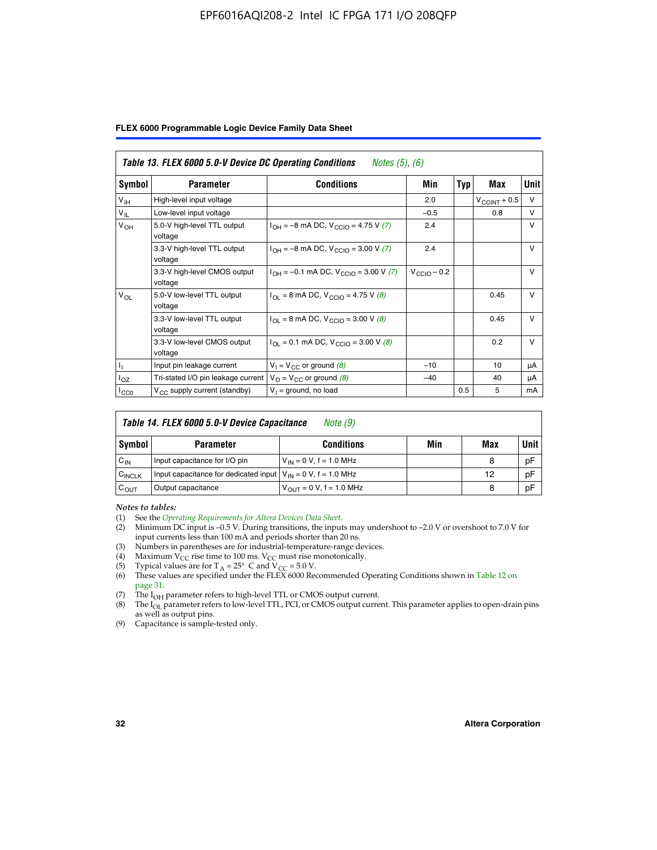#### EPF6016AQI208-2 Intel IC FPGA 171 I/O 208QFP

|  |  |  | FLEX 6000 Programmable Logic Device Family Data Sheet |  |  |  |
|--|--|--|-------------------------------------------------------|--|--|--|
|--|--|--|-------------------------------------------------------|--|--|--|

| Table 13. FLEX 6000 5.0-V Device DC Operating Conditions<br><i>Notes</i> $(5)$ , $(6)$ |                                                                            |                                                                              |                         |     |                       |              |  |  |  |
|----------------------------------------------------------------------------------------|----------------------------------------------------------------------------|------------------------------------------------------------------------------|-------------------------|-----|-----------------------|--------------|--|--|--|
| Symbol                                                                                 | <b>Parameter</b>                                                           | Conditions                                                                   | Min                     | Typ | Max                   | Unit         |  |  |  |
| V <sub>IH</sub>                                                                        | High-level input voltage                                                   |                                                                              | 2.0                     |     | $V_{\rm CCINT}$ + 0.5 | $\vee$       |  |  |  |
| $V_{IL}$                                                                               | Low-level input voltage                                                    |                                                                              | $-0.5$                  |     | 0.8                   | $\vee$       |  |  |  |
| $V_{OH}$                                                                               | 5.0-V high-level TTL output<br>voltage                                     | $I_{OH} = -8$ mA DC, $V_{CGIO} = 4.75$ V (7)                                 | 2.4                     |     |                       | $\vee$       |  |  |  |
|                                                                                        | 3.3-V high-level TTL output<br>voltage                                     | $I_{\text{OH}} = -8 \text{ mA DC}$ , $V_{\text{CClO}} = 3.00 \text{ V}$ (7)  | 2.4                     |     |                       | V            |  |  |  |
|                                                                                        | 3.3-V high-level CMOS output<br>voltage                                    | $I_{OH} = -0.1$ mA DC, $V_{CCIO} = 3.00$ V (7)                               | $V_{\text{CCIO}} - 0.2$ |     |                       | V            |  |  |  |
| $V_{OL}$                                                                               | 5.0-V low-level TTL output<br>voltage                                      | $I_{\text{OI}} = 8 \text{ mA DC}$ , $V_{\text{CCl}} = 4.75 \text{ V}$ (8)    |                         |     | 0.45                  | $\vee$       |  |  |  |
|                                                                                        | 3.3-V low-level TTL output<br>voltage                                      | $I_{OL}$ = 8 mA DC, V <sub>CCIO</sub> = 3.00 V (8)                           |                         |     | 0.45                  | $\mathsf{V}$ |  |  |  |
|                                                                                        | 3.3-V low-level CMOS output<br>voltage                                     | $I_{\text{OI}} = 0.1 \text{ mA DC}$ , $V_{\text{CCIO}} = 3.00 \text{ V}$ (8) |                         |     | 0.2                   | $\vee$       |  |  |  |
|                                                                                        | Input pin leakage current                                                  | $V_1 = V_{CC}$ or ground (8)                                                 | $-10$                   |     | 10                    | μA           |  |  |  |
| $I_{OZ}$                                                                               | Tri-stated I/O pin leakage current $V_{\Omega} = V_{\Omega}$ or ground (8) |                                                                              | $-40$                   |     | 40                    | μA           |  |  |  |
| ICCO                                                                                   | V <sub>CC</sub> supply current (standby)                                   | $V_1$ = ground, no load                                                      |                         | 0.5 | 5                     | mA           |  |  |  |

| Table 14. FLEX 6000 5.0-V Device Capacitance<br>Note (9) |                                                                    |                                |     |     |             |  |  |  |  |
|----------------------------------------------------------|--------------------------------------------------------------------|--------------------------------|-----|-----|-------------|--|--|--|--|
| Symbol                                                   | <b>Parameter</b>                                                   | <b>Conditions</b>              | Min | Max | <b>Unit</b> |  |  |  |  |
| $C_{IN}$                                                 | Input capacitance for I/O pin                                      | $V_{1N} = 0 V$ , f = 1.0 MHz   |     | 8   | pF          |  |  |  |  |
| $C_{\text{INCLK}}$                                       | Input capacitance for dedicated input $V_{IN} = 0 V$ , f = 1.0 MHz |                                |     | 12  | pF          |  |  |  |  |
| $C_{OUT}$                                                | Output capacitance                                                 | $V_{OIII} = 0 V$ , f = 1.0 MHz |     | 8   | pF          |  |  |  |  |

*Notes to tables:*

- (3) Numbers in parentheses are for industrial-temperature-range devices.
- (4) Maximum  $V_{CC}$  rise time to 100 ms.  $V_{CC}$  must rise monotonically.
- 
- (5) Typical values are for T<sub>A</sub> = 25° C and V<sub>CC</sub> = 5.0 V.<br>(6) These values are specified under the FLEX 6000 Recommended Operating Conditions shown in Table 12 on page 31.
- (7) The I<sub>OH</sub> parameter refers to high-level TTL or CMOS output current.
- (8) The I<sub>OL</sub> parameter refers to low-level TTL, PCI, or CMOS output current. This parameter applies to open-drain pins as well as output pins.
- (9) Capacitance is sample-tested only.

<sup>(1)</sup> See the *[Operating Requirements for Altera Devices Data Sheet](http://www.altera.com/literature/ds/dsoprq.pdf)*.

Minimum DC input is –0.5 V. During transitions, the inputs may undershoot to –2.0 V or overshoot to 7.0 V for input currents less than 100 mA and periods shorter than 20 ns.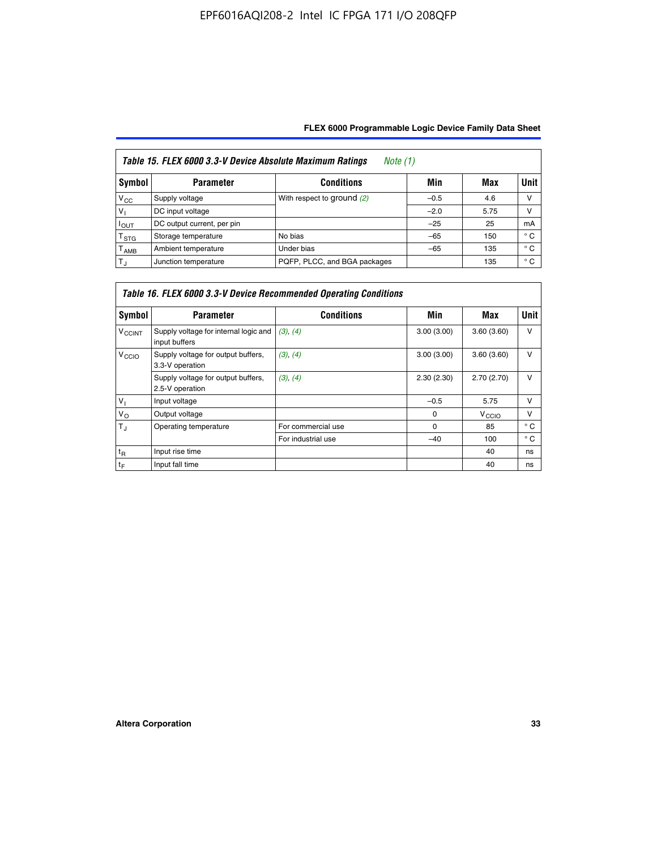| Table 15. FLEX 6000 3.3-V Device Absolute Maximum Ratings<br><i>Note</i> $(1)$ |                            |                              |        |      |              |  |  |  |  |
|--------------------------------------------------------------------------------|----------------------------|------------------------------|--------|------|--------------|--|--|--|--|
| Symbol                                                                         | <b>Parameter</b>           | <b>Conditions</b>            | Min    | Max  | Unit         |  |  |  |  |
| $V_{\rm CC}$                                                                   | Supply voltage             | With respect to ground (2)   | $-0.5$ | 4.6  | v            |  |  |  |  |
| $V_1$                                                                          | DC input voltage           |                              | $-2.0$ | 5.75 | v            |  |  |  |  |
| $I_{OUT}$                                                                      | DC output current, per pin |                              | $-25$  | 25   | mA           |  |  |  |  |
| $T_{\rm STG}$                                                                  | Storage temperature        | No bias                      | $-65$  | 150  | $^{\circ}$ C |  |  |  |  |
| $\mathsf{T}_{\mathsf{AMB}}$                                                    | Ambient temperature        | Under bias                   | $-65$  | 135  | $^{\circ}$ C |  |  |  |  |
| $T_{\rm J}$                                                                    | Junction temperature       | PQFP, PLCC, and BGA packages |        | 135  | $^{\circ}$ C |  |  |  |  |

| Table 16. FLEX 6000 3.3-V Device Recommended Operating Conditions |                                                        |                    |            |                   |              |  |  |  |
|-------------------------------------------------------------------|--------------------------------------------------------|--------------------|------------|-------------------|--------------|--|--|--|
| Symbol                                                            | <b>Parameter</b>                                       | <b>Conditions</b>  | Min        | Max               | <b>Unit</b>  |  |  |  |
| <b>V<sub>CCINT</sub></b>                                          | Supply voltage for internal logic and<br>input buffers | (3), (4)           | 3.00(3.00) | 3.60(3.60)        | $\vee$       |  |  |  |
| V <sub>CCIO</sub>                                                 | Supply voltage for output buffers,<br>3.3-V operation  | (3), (4)           | 3.00(3.00) | 3.60(3.60)        | v            |  |  |  |
|                                                                   | Supply voltage for output buffers,<br>2.5-V operation  | (3), (4)           | 2.30(2.30) | 2.70(2.70)        | v            |  |  |  |
| $V_{\perp}$                                                       | Input voltage                                          |                    | $-0.5$     | 5.75              | $\vee$       |  |  |  |
| $V_{\rm O}$                                                       | Output voltage                                         |                    | $\Omega$   | V <sub>CCIO</sub> | v            |  |  |  |
| $T_{\rm J}$                                                       | Operating temperature                                  | For commercial use | $\Omega$   | 85                | $^{\circ}$ C |  |  |  |
|                                                                   |                                                        | For industrial use | $-40$      | 100               | $^{\circ}$ C |  |  |  |
| $t_{R}$                                                           | Input rise time                                        |                    |            | 40                | ns           |  |  |  |
| $t_F$                                                             | Input fall time                                        |                    |            | 40                | ns           |  |  |  |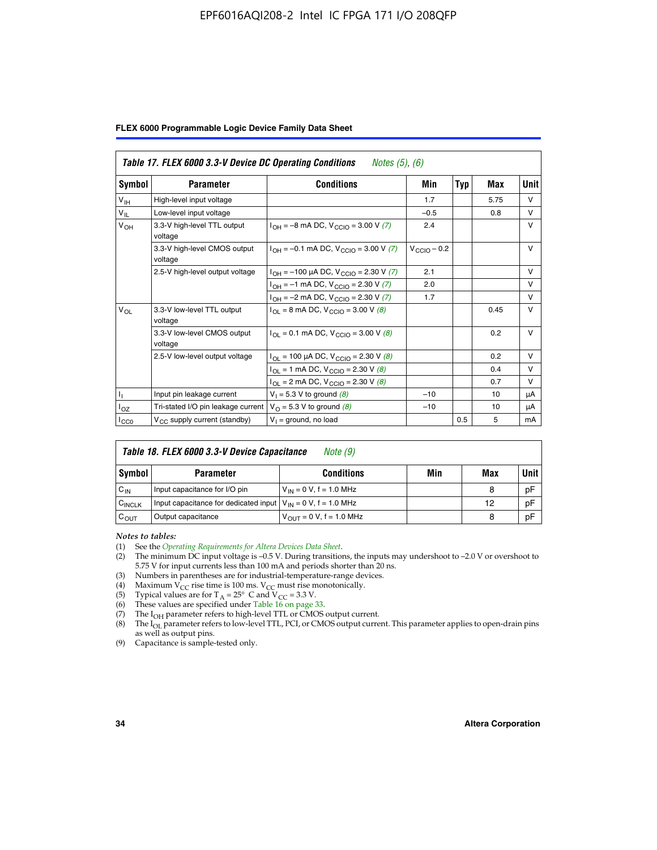#### EPF6016AQI208-2 Intel IC FPGA 171 I/O 208QFP

|  |  |  | FLEX 6000 Programmable Logic Device Family Data Sheet |  |  |  |  |  |
|--|--|--|-------------------------------------------------------|--|--|--|--|--|
|--|--|--|-------------------------------------------------------|--|--|--|--|--|

| Table 17. FLEX 6000 3.3-V Device DC Operating Conditions<br><i>Notes (5), (6)</i> |                                                                                       |                                                                            |                         |            |      |              |  |  |  |
|-----------------------------------------------------------------------------------|---------------------------------------------------------------------------------------|----------------------------------------------------------------------------|-------------------------|------------|------|--------------|--|--|--|
| Symbol                                                                            | <b>Parameter</b>                                                                      | <b>Conditions</b>                                                          | Min                     | <b>Typ</b> | Max  | Unit         |  |  |  |
| V <sub>IH</sub>                                                                   | High-level input voltage                                                              |                                                                            | 1.7                     |            | 5.75 | $\vee$       |  |  |  |
| $V_{IL}$                                                                          | Low-level input voltage                                                               |                                                                            | $-0.5$                  |            | 0.8  | $\vee$       |  |  |  |
| $V_{OH}$                                                                          | 3.3-V high-level TTL output<br>voltage                                                | $I_{OH} = -8$ mA DC, $V_{CClO} = 3.00$ V (7)                               | 2.4                     |            |      | $\vee$       |  |  |  |
|                                                                                   | 3.3-V high-level CMOS output<br>voltage                                               | $I_{OH} = -0.1$ mA DC, $V_{CGIO} = 3.00$ V (7)                             | $V_{\text{CCIO}} - 0.2$ |            |      | v            |  |  |  |
|                                                                                   | 2.5-V high-level output voltage<br>$I_{OH} = -100 \mu A DC$ , $V_{CCIO} = 2.30 V (7)$ |                                                                            | 2.1                     |            |      | $\mathsf{V}$ |  |  |  |
|                                                                                   |                                                                                       | $I_{OH} = -1$ mA DC, $V_{CCIO} = 2.30 V (7)$                               | 2.0                     |            |      | $\vee$       |  |  |  |
|                                                                                   |                                                                                       | $I_{OH} = -2$ mA DC, $V_{CCIO} = 2.30$ V (7)                               | 1.7                     |            |      | $\vee$       |  |  |  |
| $V_{OL}$                                                                          | 3.3-V low-level TTL output<br>voltage                                                 | $I_{\text{OI}}$ = 8 mA DC, V <sub>CCIO</sub> = 3.00 V (8)                  |                         |            | 0.45 | $\vee$       |  |  |  |
|                                                                                   | 3.3-V low-level CMOS output<br>voltage                                                | $I_{\text{OI}} = 0.1 \text{ mA DC}, V_{\text{CCIO}} = 3.00 \text{ V } (8)$ |                         |            | 0.2  | $\vee$       |  |  |  |
|                                                                                   | 2.5-V low-level output voltage                                                        | $I_{OL}$ = 100 µA DC, V <sub>CCIO</sub> = 2.30 V (8)                       |                         |            | 0.2  | V            |  |  |  |
|                                                                                   |                                                                                       | $I_{OL} = 1$ mA DC, $V_{CCIO} = 2.30$ V (8)                                |                         |            | 0.4  | $\mathsf{V}$ |  |  |  |
|                                                                                   |                                                                                       | $I_{OL}$ = 2 mA DC, $V_{CClO}$ = 2.30 V (8)                                |                         |            | 0.7  | $\vee$       |  |  |  |
| $\mathbf{I}_{\text{L}}$                                                           | Input pin leakage current                                                             | $V_1 = 5.3 V$ to ground (8)                                                | $-10$                   |            | 10   | μA           |  |  |  |
| $I_{OZ}$                                                                          | Tri-stated I/O pin leakage current                                                    | $V_{\Omega}$ = 5.3 V to ground (8)                                         | $-10$                   |            | 10   | μA           |  |  |  |
| ICCO                                                                              | $V_{CC}$ supply current (standby)                                                     | $V_1$ = ground, no load                                                    |                         | 0.5        | 5    | mA           |  |  |  |

| Table 18. FLEX 6000 3.3-V Device Capacitance<br>Note (9) |                                                                    |                                      |     |     |             |  |  |  |
|----------------------------------------------------------|--------------------------------------------------------------------|--------------------------------------|-----|-----|-------------|--|--|--|
| Symbol                                                   | <b>Parameter</b>                                                   | <b>Conditions</b>                    | Min | Max | <b>Unit</b> |  |  |  |
| $C_{IN}$                                                 | Input capacitance for I/O pin                                      | $V_{IN} = 0 V$ , f = 1.0 MHz         |     | 8   | pF          |  |  |  |
| C <sub>INCLK</sub>                                       | Input capacitance for dedicated input $V_{IN} = 0 V$ , f = 1.0 MHz |                                      |     | 12  | pF          |  |  |  |
| $C_{OUT}$                                                | Output capacitance                                                 | $V_{\text{OUT}} = 0 V$ , f = 1.0 MHz |     | 8   | pF          |  |  |  |

*Notes to tables:*

- (3) Numbers in parentheses are for industrial-temperature-range devices.
- (4) Maximum V<sub>CC</sub> rise time is 100 ms. V<sub>CC</sub> must rise monotonically.
- (5) Typical values are for  $T_A = 25^\circ$  C and  $V_{CC} = 3.3$  V.<br>(6) These values are specified under Table 16 on page 33.
- 
- (7) The  $I_{OH}$  parameter refers to high-level TTL or CMOS output current.
- (8) The  $I_{OL}$  parameter refers to low-level TTL, PCI, or CMOS output current. This parameter applies to open-drain pins as well as output pins.

(9) Capacitance is sample-tested only.

<sup>(1)</sup> See the *[Operating Requirements for Altera Devices Data Sheet](http://www.altera.com/literature/ds/dsoprq.pdf)*.

<sup>(2)</sup> The minimum DC input voltage is –0.5 V. During transitions, the inputs may undershoot to –2.0 V or overshoot to 5.75 V for input currents less than 100 mA and periods shorter than 20 ns.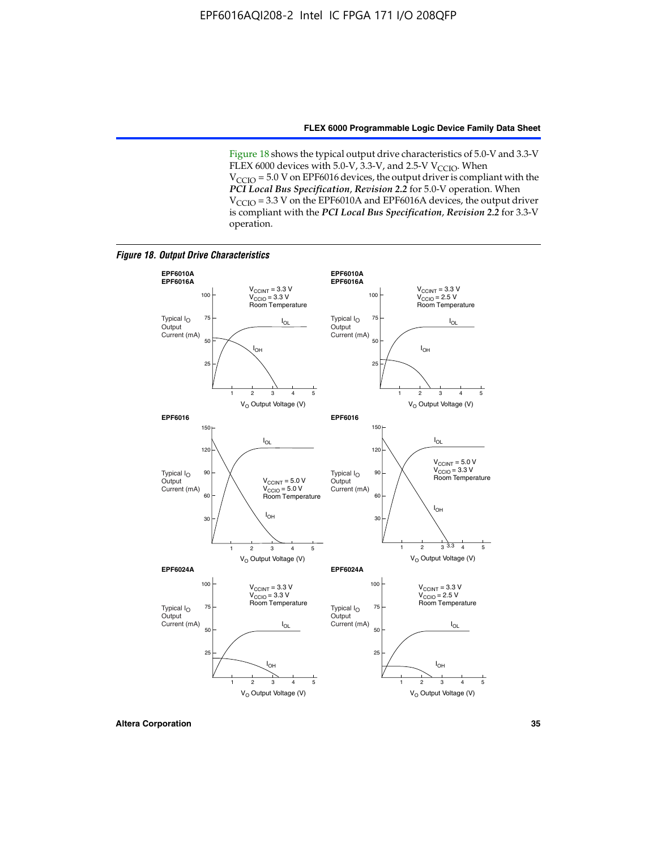Figure 18 shows the typical output drive characteristics of 5.0-V and 3.3-V FLEX 6000 devices with 5.0-V,  $3.3$ -V, and 2.5-V V<sub>CCIO</sub>. When  $V_{\text{CCIO}}$  = 5.0 V on EPF6016 devices, the output driver is compliant with the *PCI Local Bus Specification*, *Revision 2.2* for 5.0-V operation. When  $V_{\text{CCIO}} = 3.3$  V on the EPF6010A and EPF6016A devices, the output driver is compliant with the *PCI Local Bus Specification*, *Revision 2.2* for 3.3-V operation.

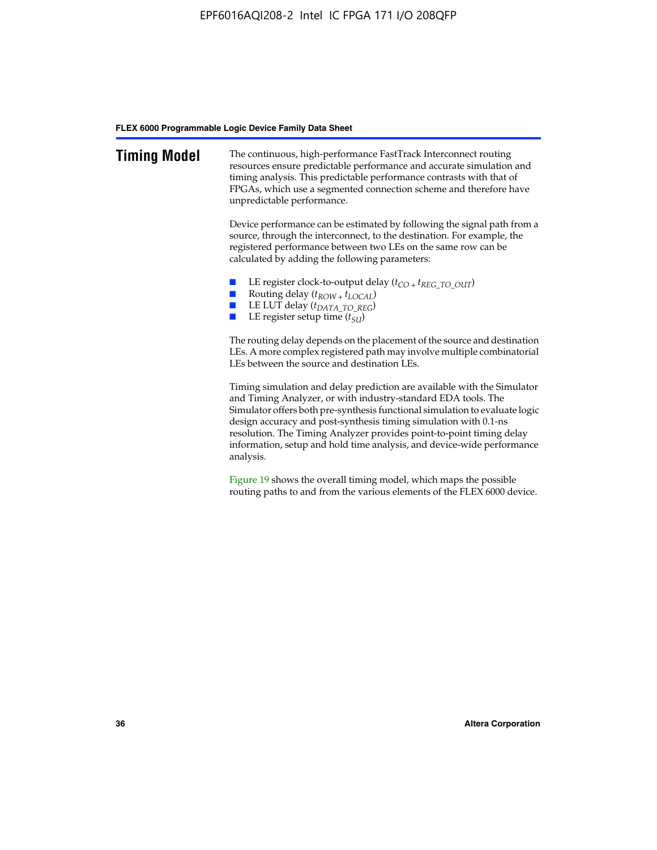| <b>Timing Model</b> | The continuous, high-performance FastTrack Interconnect routing<br>resources ensure predictable performance and accurate simulation and<br>timing analysis. This predictable performance contrasts with that of<br>FPGAs, which use a segmented connection scheme and therefore have<br>unpredictable performance.                                                                                                                                         |
|---------------------|------------------------------------------------------------------------------------------------------------------------------------------------------------------------------------------------------------------------------------------------------------------------------------------------------------------------------------------------------------------------------------------------------------------------------------------------------------|
|                     | Device performance can be estimated by following the signal path from a<br>source, through the interconnect, to the destination. For example, the<br>registered performance between two LEs on the same row can be<br>calculated by adding the following parameters:                                                                                                                                                                                       |
|                     | LE register clock-to-output delay $(t_{CO} + t_{REG\_TO\_OUT})$<br>Routing delay $(t_{ROW} + t_{LOCAL})$<br>LE LUT delay (t <sub>DATA_TO_REG</sub> )<br>LE register setup time $(t_{SI})$                                                                                                                                                                                                                                                                  |
|                     | The routing delay depends on the placement of the source and destination<br>LEs. A more complex registered path may involve multiple combinatorial<br>LEs between the source and destination LEs.                                                                                                                                                                                                                                                          |
|                     | Timing simulation and delay prediction are available with the Simulator<br>and Timing Analyzer, or with industry-standard EDA tools. The<br>Simulator offers both pre-synthesis functional simulation to evaluate logic<br>design accuracy and post-synthesis timing simulation with 0.1-ns<br>resolution. The Timing Analyzer provides point-to-point timing delay<br>information, setup and hold time analysis, and device-wide performance<br>analysis. |
|                     | Figure 19 shows the overall timing model, which maps the possible                                                                                                                                                                                                                                                                                                                                                                                          |

routing paths to and from the various elements of the FLEX 6000 device.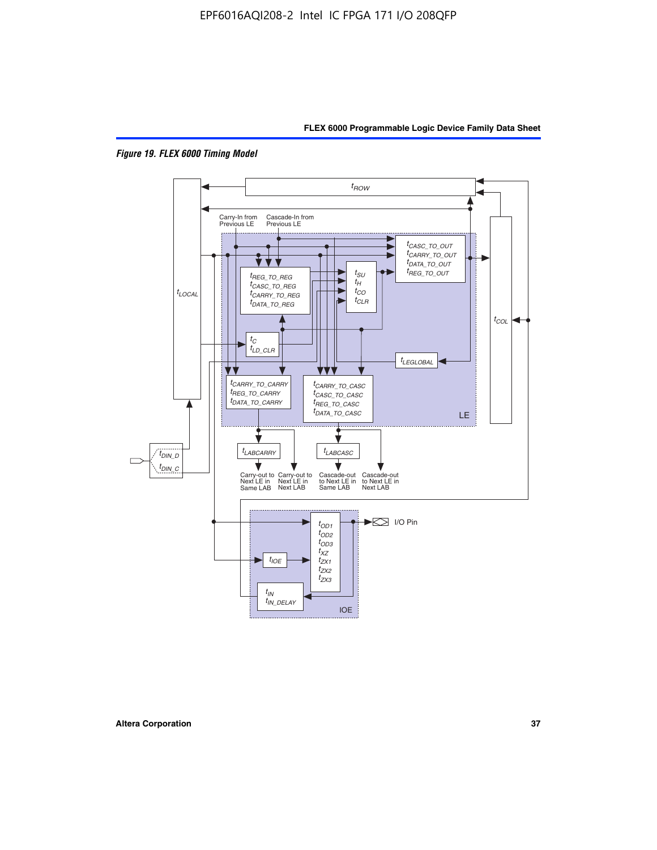



*Figure 19. FLEX 6000 Timing Model*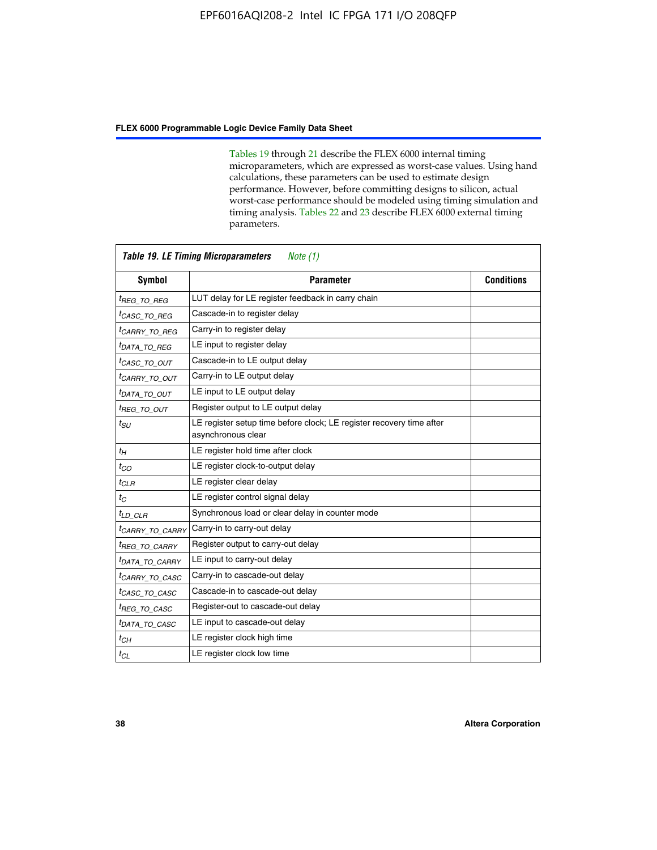Tables 19 through 21 describe the FLEX 6000 internal timing microparameters, which are expressed as worst-case values. Using hand calculations, these parameters can be used to estimate design performance. However, before committing designs to silicon, actual worst-case performance should be modeled using timing simulation and timing analysis. Tables 22 and 23 describe FLEX 6000 external timing parameters.

| <b>Symbol</b>               | <b>Parameter</b>                                                                           | <b>Conditions</b> |
|-----------------------------|--------------------------------------------------------------------------------------------|-------------------|
| <sup>t</sup> REG TO REG     | LUT delay for LE register feedback in carry chain                                          |                   |
| <sup>t</sup> CASC_TO_REG    | Cascade-in to register delay                                                               |                   |
| <sup>t</sup> CARRY TO REG   | Carry-in to register delay                                                                 |                   |
| <sup>t</sup> DATA_TO_REG    | LE input to register delay                                                                 |                   |
| <sup>t</sup> CASC_TO_OUT    | Cascade-in to LE output delay                                                              |                   |
| <sup>t</sup> CARRY_TO_OUT   | Carry-in to LE output delay                                                                |                   |
| <sup>t</sup> DATA TO OUT    | LE input to LE output delay                                                                |                   |
| <sup>t</sup> REG_TO_OUT     | Register output to LE output delay                                                         |                   |
| $t_{SU}$                    | LE register setup time before clock; LE register recovery time after<br>asynchronous clear |                   |
| $t_H$                       | LE register hold time after clock                                                          |                   |
| $t_{CO}$                    | LE register clock-to-output delay                                                          |                   |
| $t_{CLR}$                   | LE register clear delay                                                                    |                   |
| $t_C$                       | LE register control signal delay                                                           |                   |
| $t_{LD}$ $CLR$              | Synchronous load or clear delay in counter mode                                            |                   |
| <sup>t</sup> CARRY TO CARRY | Carry-in to carry-out delay                                                                |                   |
| <sup>t</sup> REG TO CARRY   | Register output to carry-out delay                                                         |                   |
| <sup>t</sup> DATA_TO_CARRY  | LE input to carry-out delay                                                                |                   |
| <sup>t</sup> CARRY_TO_CASC  | Carry-in to cascade-out delay                                                              |                   |
| <sup>t</sup> CASC TO CASC   | Cascade-in to cascade-out delay                                                            |                   |
| <sup>t</sup> REG TO CASC    | Register-out to cascade-out delay                                                          |                   |
| <sup>t</sup> DATA_TO_CASC   | LE input to cascade-out delay                                                              |                   |
| $t_{CH}$                    | LE register clock high time                                                                |                   |
| $t_{CL}$                    | LE register clock low time                                                                 |                   |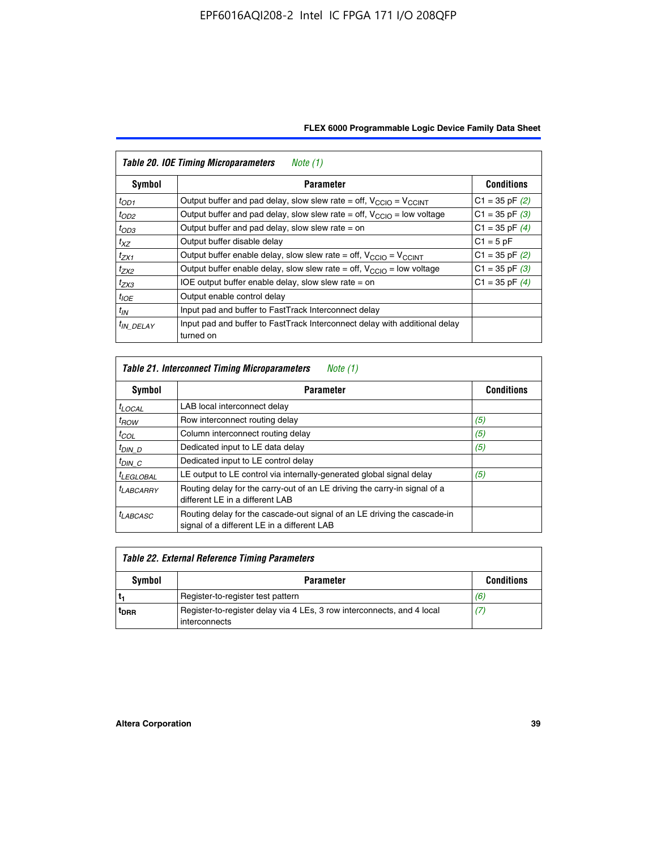| <b>Table 20. IOE Timing Microparameters</b><br>Note (1) |                                                                                         |                    |  |  |  |  |  |
|---------------------------------------------------------|-----------------------------------------------------------------------------------------|--------------------|--|--|--|--|--|
| Symbol                                                  | <b>Parameter</b>                                                                        | <b>Conditions</b>  |  |  |  |  |  |
| $t_{OD1}$                                               | Output buffer and pad delay, slow slew rate = off, $V_{\text{CCIO}} = V_{\text{CCINT}}$ | $C1 = 35$ pF $(2)$ |  |  |  |  |  |
| $t_{OD2}$                                               | Output buffer and pad delay, slow slew rate = off, $V_{CClO}$ = low voltage             | $C1 = 35$ pF $(3)$ |  |  |  |  |  |
| $t_{OD3}$                                               | Output buffer and pad delay, slow slew rate $=$ on                                      | $C1 = 35$ pF $(4)$ |  |  |  |  |  |
| $t_{XZ}$                                                | Output buffer disable delay                                                             | $C1 = 5pF$         |  |  |  |  |  |
| $t_{ZX1}$                                               | Output buffer enable delay, slow slew rate = off, $V_{\text{CCIO}} = V_{\text{CCINT}}$  | $C1 = 35$ pF $(2)$ |  |  |  |  |  |
| $t_{ZX2}$                                               | Output buffer enable delay, slow slew rate = off, $V_{\text{CCIO}}$ = low voltage       | $C1 = 35$ pF $(3)$ |  |  |  |  |  |
| $t_{ZX3}$                                               | IOE output buffer enable delay, slow slew rate $=$ on                                   | $C1 = 35$ pF $(4)$ |  |  |  |  |  |
| $t_{IOE}$                                               | Output enable control delay                                                             |                    |  |  |  |  |  |
| $t_{IN}$                                                | Input pad and buffer to FastTrack Interconnect delay                                    |                    |  |  |  |  |  |
| <sup>t</sup> IN DELAY                                   | Input pad and buffer to FastTrack Interconnect delay with additional delay<br>turned on |                    |  |  |  |  |  |

| <b>Table 21. Interconnect Timing Microparameters</b><br>Note (1) |                                                                                                                         |                   |  |  |  |  |  |
|------------------------------------------------------------------|-------------------------------------------------------------------------------------------------------------------------|-------------------|--|--|--|--|--|
| Symbol                                                           | <b>Parameter</b>                                                                                                        | <b>Conditions</b> |  |  |  |  |  |
| $t_{LOCAL}$                                                      | LAB local interconnect delay                                                                                            |                   |  |  |  |  |  |
| $t_{ROW}$                                                        | Row interconnect routing delay                                                                                          | (5)               |  |  |  |  |  |
| $t_{COL}$                                                        | Column interconnect routing delay                                                                                       | (5)               |  |  |  |  |  |
| <sup>t</sup> DIN D                                               | Dedicated input to LE data delay                                                                                        | (5)               |  |  |  |  |  |
| $t_{DIN}$ $C$                                                    | Dedicated input to LE control delay                                                                                     |                   |  |  |  |  |  |
| <sup>t</sup> LEGLOBAL                                            | LE output to LE control via internally-generated global signal delay                                                    | (5)               |  |  |  |  |  |
| $t_{LABCAARY}$                                                   | Routing delay for the carry-out of an LE driving the carry-in signal of a<br>different LE in a different LAB            |                   |  |  |  |  |  |
| <sup>t</sup> LABCASC                                             | Routing delay for the cascade-out signal of an LE driving the cascade-in<br>signal of a different LE in a different LAB |                   |  |  |  |  |  |

| Table 22. External Reference Timing Parameters |                                                                                         |                   |  |  |  |  |
|------------------------------------------------|-----------------------------------------------------------------------------------------|-------------------|--|--|--|--|
| Symbol                                         | <b>Parameter</b>                                                                        | <b>Conditions</b> |  |  |  |  |
|                                                | Register-to-register test pattern                                                       | (6)               |  |  |  |  |
| <sup>t</sup> DRR                               | Register-to-register delay via 4 LEs, 3 row interconnects, and 4 local<br>interconnects | (7)               |  |  |  |  |

 $\mathbf{r}$ 

 $\overline{\phantom{0}}$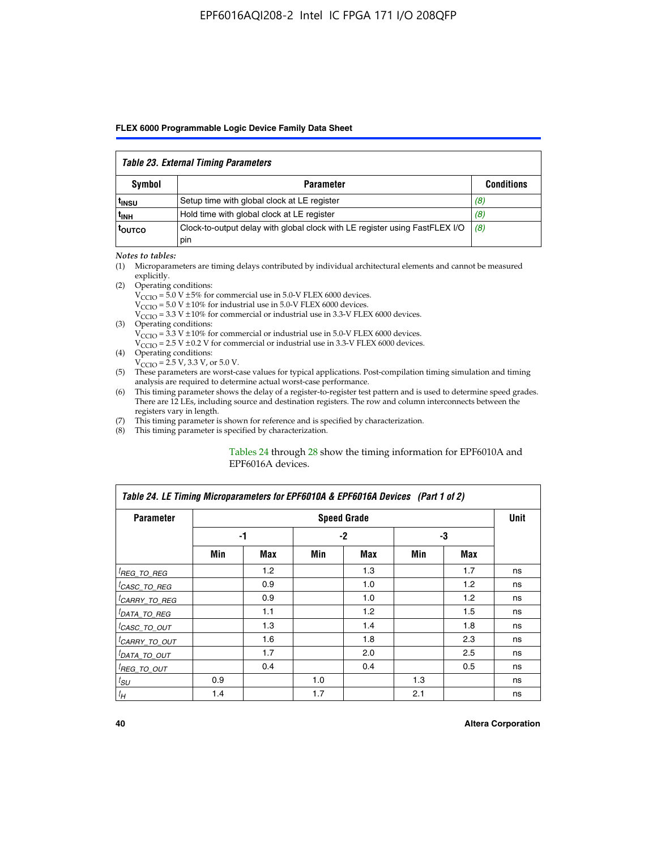#### *Table 23. External Timing Parameters*

| Symbol            | <b>Parameter</b>                                                                   | <b>Conditions</b> |
|-------------------|------------------------------------------------------------------------------------|-------------------|
| <sup>t</sup> insu | Setup time with global clock at LE register                                        | (8)               |
| t <sub>INH</sub>  | Hold time with global clock at LE register                                         | (8)               |
| toutco            | Clock-to-output delay with global clock with LE register using FastFLEX I/O<br>pin | (8)               |

#### *Notes to tables:*

- (1) Microparameters are timing delays contributed by individual architectural elements and cannot be measured explicitly.
- (2) Operating conditions:  $V_{\text{CCIO}} = 5.0 \text{ V} \pm 5\%$  for commercial use in 5.0-V FLEX 6000 devices.  $V_{\text{CCIO}} = 5.0 \text{ V} \pm 10\%$  for industrial use in 5.0-V FLEX 6000 devices.  $V<sub>CCO</sub> = 3.3 V ± 10%$  for commercial or industrial use in 3.3-V FLEX 6000 devices. (3) Operating conditions:
	- $V_{\text{CCIO}} = 3.3 \text{ V} \pm 10\%$  for commercial or industrial use in 5.0-V FLEX 6000 devices.
		- $V_{\text{CCIO}}$  = 2.5 V ± 0.2 V for commercial or industrial use in 3.3-V FLEX 6000 devices.
- (4) Operating conditions:  $V_{\text{CCIO}} = 2.5 \text{ V}$ , 3.3 V, or 5.0 V.
- (5) These parameters are worst-case values for typical applications. Post-compilation timing simulation and timing analysis are required to determine actual worst-case performance.
- (6) This timing parameter shows the delay of a register-to-register test pattern and is used to determine speed grades. There are 12 LEs, including source and destination registers. The row and column interconnects between the registers vary in length.
- (7) This timing parameter is shown for reference and is specified by characterization.
- (8) This timing parameter is specified by characterization.

#### Tables 24 through 28 show the timing information for EPF6010A and EPF6016A devices.

| Table 24. LE Timing Microparameters for EPF6010A & EPF6016A Devices (Part 1 of 2) |     |                  |     |                    |     |     |             |  |
|-----------------------------------------------------------------------------------|-----|------------------|-----|--------------------|-----|-----|-------------|--|
| <b>Parameter</b>                                                                  |     |                  |     | <b>Speed Grade</b> |     |     | <b>Unit</b> |  |
|                                                                                   |     | -1               |     | $-2$               |     | -3  |             |  |
|                                                                                   | Min | Max              | Min | Max                | Min | Max |             |  |
| <sup>[</sup> REG_TO_REG                                                           |     | 1.2 <sub>2</sub> |     | 1.3                |     | 1.7 | ns          |  |
| <sup>I</sup> CASC_TO_REG                                                          |     | 0.9              |     | 1.0                |     | 1.2 | ns          |  |
| <sup>I</sup> CARRY_TO_REG                                                         |     | 0.9              |     | 1.0                |     | 1.2 | ns          |  |
| <sup>I</sup> DATA_TO_REG                                                          |     | 1.1              |     | 1.2                |     | 1.5 | ns          |  |
| <sup>I</sup> CASC_TO_OUT                                                          |     | 1.3              |     | 1.4                |     | 1.8 | ns          |  |
| <sup>I</sup> CARRY_TO_OUT                                                         |     | 1.6              |     | 1.8                |     | 2.3 | ns          |  |
| <sup>I</sup> DATA_TO_OUT                                                          |     | 1.7              |     | 2.0                |     | 2.5 | ns          |  |
| <sup>I</sup> REG_TO_OUT                                                           |     | 0.4              |     | 0.4                |     | 0.5 | ns          |  |
| $t_{SU}$                                                                          | 0.9 |                  | 1.0 |                    | 1.3 |     | ns          |  |
| $t_H$                                                                             | 1.4 |                  | 1.7 |                    | 2.1 |     | ns          |  |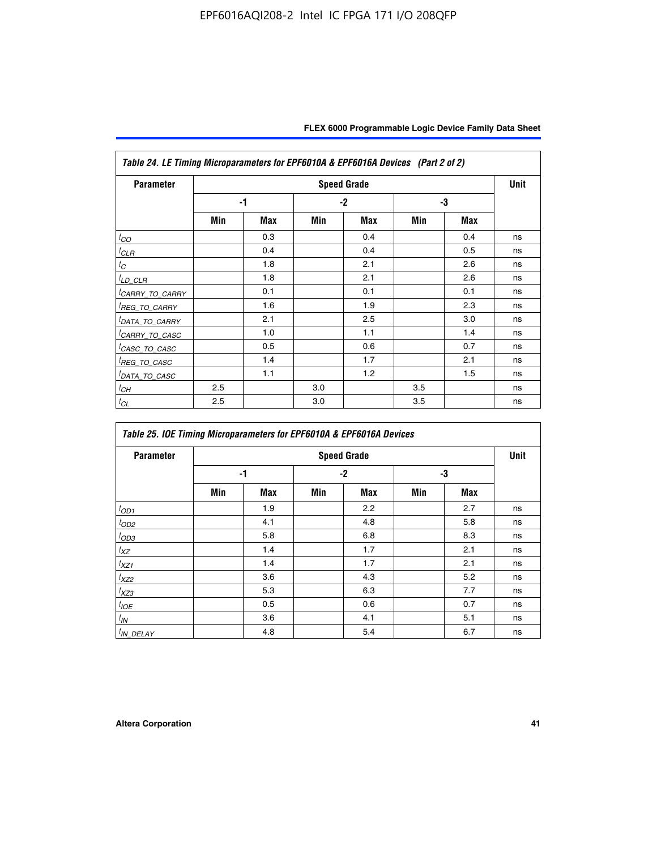| Table 24. LE Timing Microparameters for EPF6010A & EPF6016A Devices (Part 2 of 2) |     |      |     |                    |     |     |      |  |
|-----------------------------------------------------------------------------------|-----|------|-----|--------------------|-----|-----|------|--|
| <b>Parameter</b>                                                                  |     |      |     | <b>Speed Grade</b> |     |     | Unit |  |
|                                                                                   |     | $-1$ |     | $-2$               |     | -3  |      |  |
|                                                                                   | Min | Max  | Min | Max                | Min | Max |      |  |
| $t_{CO}$                                                                          |     | 0.3  |     | 0.4                |     | 0.4 | ns   |  |
| <sup>t</sup> CLR                                                                  |     | 0.4  |     | 0.4                |     | 0.5 | ns   |  |
| $t_C$                                                                             |     | 1.8  |     | 2.1                |     | 2.6 | ns   |  |
| ${}^t\underline{\textit{LD\_CLR}}$                                                |     | 1.8  |     | 2.1                |     | 2.6 | ns   |  |
| <sup>I</sup> CARRY_TO_CARRY                                                       |     | 0.1  |     | 0.1                |     | 0.1 | ns   |  |
| <sup>I</sup> REG_TO_CARRY                                                         |     | 1.6  |     | 1.9                |     | 2.3 | ns   |  |
| <sup>I</sup> DATA_TO_CARRY                                                        |     | 2.1  |     | 2.5                |     | 3.0 | ns   |  |
| <sup>I</sup> CARRY_TO_CASC                                                        |     | 1.0  |     | 1.1                |     | 1.4 | ns   |  |
| <sup>I</sup> CASC_TO_CASC                                                         |     | 0.5  |     | 0.6                |     | 0.7 | ns   |  |
| <sup>I</sup> REG_TO_CASC                                                          |     | 1.4  |     | 1.7                |     | 2.1 | ns   |  |
| <sup>I</sup> DATA_TO_CASC                                                         |     | 1.1  |     | 1.2                |     | 1.5 | ns   |  |
| ${}^tC H$                                                                         | 2.5 |      | 3.0 |                    | 3.5 |     | ns   |  |
| ${}^tC_L$                                                                         | 2.5 |      | 3.0 |                    | 3.5 |     | ns   |  |

| Table 25. IOE Timing Microparameters for EPF6010A & EPF6016A Devices |     |            |      |                    |     |            |      |  |
|----------------------------------------------------------------------|-----|------------|------|--------------------|-----|------------|------|--|
| <b>Parameter</b>                                                     |     |            |      | <b>Speed Grade</b> |     |            | Unit |  |
|                                                                      |     | -1         | $-2$ |                    | -3  |            |      |  |
|                                                                      | Min | <b>Max</b> | Min  | <b>Max</b>         | Min | <b>Max</b> |      |  |
| $t_{OD1}$                                                            |     | 1.9        |      | 2.2                |     | 2.7        | ns   |  |
| $t_{OD2}$                                                            |     | 4.1        |      | 4.8                |     | 5.8        | ns   |  |
| $t_{OD3}$                                                            |     | 5.8        |      | 6.8                |     | 8.3        | ns   |  |
| $t_{XZ}$                                                             |     | 1.4        |      | 1.7                |     | 2.1        | ns   |  |
| $t_{XZ1}$                                                            |     | 1.4        |      | 1.7                |     | 2.1        | ns   |  |
| $t_{XZ2}$                                                            |     | 3.6        |      | 4.3                |     | 5.2        | ns   |  |
| $t_{XZ3}$                                                            |     | 5.3        |      | 6.3                |     | 7.7        | ns   |  |
| $t_{IOE}$                                                            |     | 0.5        |      | 0.6                |     | 0.7        | ns   |  |
| $t_{IN}$                                                             |     | 3.6        |      | 4.1                |     | 5.1        | ns   |  |
| $t_{IN\_DELAY}$                                                      |     | 4.8        |      | 5.4                |     | 6.7        | ns   |  |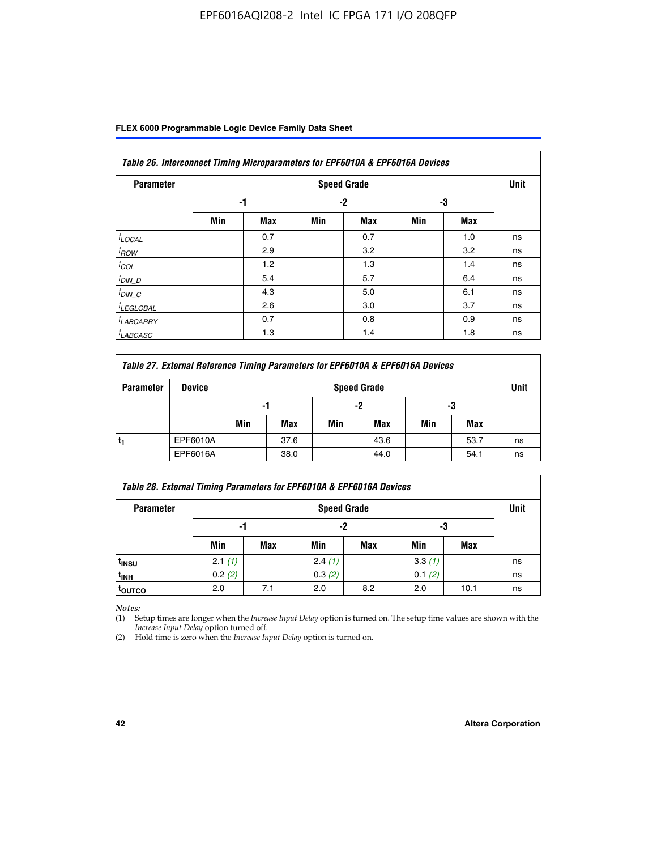| Table 26. Interconnect Timing Microparameters for EPF6010A & EPF6016A Devices |     |     |      |                    |     |     |             |  |  |
|-------------------------------------------------------------------------------|-----|-----|------|--------------------|-----|-----|-------------|--|--|
| <b>Parameter</b>                                                              |     |     |      | <b>Speed Grade</b> |     |     | <b>Unit</b> |  |  |
|                                                                               |     | -1  | $-2$ |                    | -3  |     |             |  |  |
|                                                                               | Min | Max | Min  | Max                | Min | Max |             |  |  |
| $t$ LOCAL                                                                     |     | 0.7 |      | 0.7                |     | 1.0 | ns          |  |  |
| $t_{\text{ROW}}$                                                              |     | 2.9 |      | 3.2                |     | 3.2 | ns          |  |  |
| $t_{COL}$                                                                     |     | 1.2 |      | 1.3                |     | 1.4 | ns          |  |  |
| $t_{DIN\_D}$                                                                  |     | 5.4 |      | 5.7                |     | 6.4 | ns          |  |  |
| $t_{DIN\_C}$                                                                  |     | 4.3 |      | 5.0                |     | 6.1 | ns          |  |  |
| <sup>I</sup> LEGLOBAL                                                         |     | 2.6 |      | 3.0                |     | 3.7 | ns          |  |  |
| <sup>I</sup> LABCARRY                                                         |     | 0.7 |      | 0.8                |     | 0.9 | ns          |  |  |
| <sup>I</sup> LABCASC                                                          |     | 1.3 |      | 1.4                |     | 1.8 | ns          |  |  |

| Table 27. External Reference Timing Parameters for EPF6010A & EPF6016A Devices |               |                |                    |     |      |     |      |    |  |  |
|--------------------------------------------------------------------------------|---------------|----------------|--------------------|-----|------|-----|------|----|--|--|
| <b>Parameter</b>                                                               | <b>Device</b> |                | <b>Speed Grade</b> |     |      |     |      |    |  |  |
|                                                                                |               | -2<br>-1<br>-3 |                    |     |      |     |      |    |  |  |
|                                                                                |               | Min            | Max                | Min | Max  | Min | Max  |    |  |  |
|                                                                                | EPF6010A      |                | 37.6               |     | 43.6 |     | 53.7 | ns |  |  |
|                                                                                | EPF6016A      |                | 38.0               |     | 44.0 |     | 54.1 | ns |  |  |

| <b>Parameter</b>  |        | <b>Speed Grade</b> |        |     |        |      |    |  |  |  |
|-------------------|--------|--------------------|--------|-----|--------|------|----|--|--|--|
|                   |        | -1                 |        | -2  |        | -3   |    |  |  |  |
|                   | Min    | Max                | Min    | Max | Min    | Max  |    |  |  |  |
| t <sub>insu</sub> | 2.1(1) |                    | 2.4(1) |     | 3.3(1) |      | ns |  |  |  |
| <sup>t</sup> inh  | 0.2(2) |                    | 0.3(2) |     | 0.1(2) |      | ns |  |  |  |
| toutco            | 2.0    | 7.1                | 2.0    | 8.2 | 2.0    | 10.1 | ns |  |  |  |

*Notes:*

(1) Setup times are longer when the *Increase Input Delay* option is turned on. The setup time values are shown with the *Increase Input Delay* option turned off.

(2) Hold time is zero when the *Increase Input Delay* option is turned on.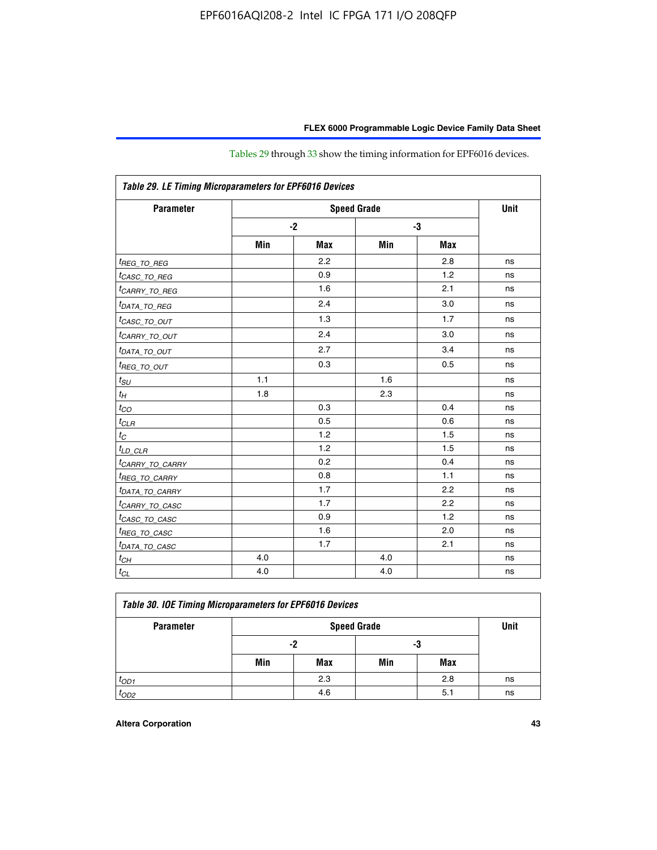| Table 29. LE Timing Microparameters for EPF6016 Devices |     |            |     |            |    |  |  |  |
|---------------------------------------------------------|-----|------------|-----|------------|----|--|--|--|
| <b>Parameter</b>                                        |     | Unit       |     |            |    |  |  |  |
|                                                         |     | $-2$       | -3  |            |    |  |  |  |
|                                                         | Min | <b>Max</b> | Min | <b>Max</b> |    |  |  |  |
| <sup>t</sup> REG_ <u>TO_REG</u>                         |     | 2.2        |     | 2.8        | ns |  |  |  |
| <sup>t</sup> CASC_TO_REG                                |     | 0.9        |     | 1.2        | ns |  |  |  |
| <sup>I</sup> CARRY_TO_REG                               |     | 1.6        |     | 2.1        | ns |  |  |  |
| <sup>t</sup> DATA_TO_REG                                |     | 2.4        |     | 3.0        | ns |  |  |  |
| <sup>t</sup> CASC_TO_OUT                                |     | 1.3        |     | 1.7        | ns |  |  |  |
| <sup>t</sup> CARRY_TO_OUT                               |     | 2.4        |     | 3.0        | ns |  |  |  |
| <sup>t</sup> DATA_TO_OUT                                |     | 2.7        |     | 3.4        | ns |  |  |  |
| <i>t<sub>REG_TO_OUT</sub></i>                           |     | 0.3        |     | 0.5        | ns |  |  |  |
| $t_{SU}$                                                | 1.1 |            | 1.6 |            | ns |  |  |  |
| $t_H$                                                   | 1.8 |            | 2.3 |            | ns |  |  |  |
| $t_{CO}$                                                |     | 0.3        |     | 0.4        | ns |  |  |  |
| $t_{CLR}$                                               |     | 0.5        |     | 0.6        | ns |  |  |  |
| $t_C$                                                   |     | 1.2        |     | 1.5        | ns |  |  |  |
| $t_{LD\_CLR}$                                           |     | 1.2        |     | 1.5        | ns |  |  |  |
| <sup>t</sup> CARRY_TO_CARRY                             |     | 0.2        |     | 0.4        | ns |  |  |  |
| <sup>t</sup> REG_TO_CARRY                               |     | 0.8        |     | 1.1        | ns |  |  |  |
| <sup>t</sup> DATA_TO_CARRY                              |     | 1.7        |     | 2.2        | ns |  |  |  |
| <sup>t</sup> CARRY_TO_CASC                              |     | 1.7        |     | 2.2        | ns |  |  |  |
| <sup>t</sup> CASC_TO_CASC                               |     | 0.9        |     | 1.2        | ns |  |  |  |
| <sup>t</sup> REG_TO_CASC                                |     | 1.6        |     | 2.0        | ns |  |  |  |
| <sup>t</sup> DATA_TO_CASC                               |     | 1.7        |     | 2.1        | ns |  |  |  |
| $t_{CH}$                                                | 4.0 |            | 4.0 |            | ns |  |  |  |
| $t_{CL}$                                                | 4.0 |            | 4.0 |            | ns |  |  |  |

Tables 29 through 33 show the timing information for EPF6016 devices.

| Table 30. IOE Timing Microparameters for EPF6016 Devices |     |     |                    |     |    |  |  |  |  |
|----------------------------------------------------------|-----|-----|--------------------|-----|----|--|--|--|--|
| <b>Parameter</b>                                         |     |     | <b>Speed Grade</b> |     |    |  |  |  |  |
|                                                          |     | -2  | -3                 |     |    |  |  |  |  |
|                                                          | Min | Max | Min                | Max |    |  |  |  |  |
| $t_{OD1}$                                                |     | 2.3 |                    | 2.8 | ns |  |  |  |  |
| $t_{OD2}$                                                |     | 4.6 |                    | 5.1 | ns |  |  |  |  |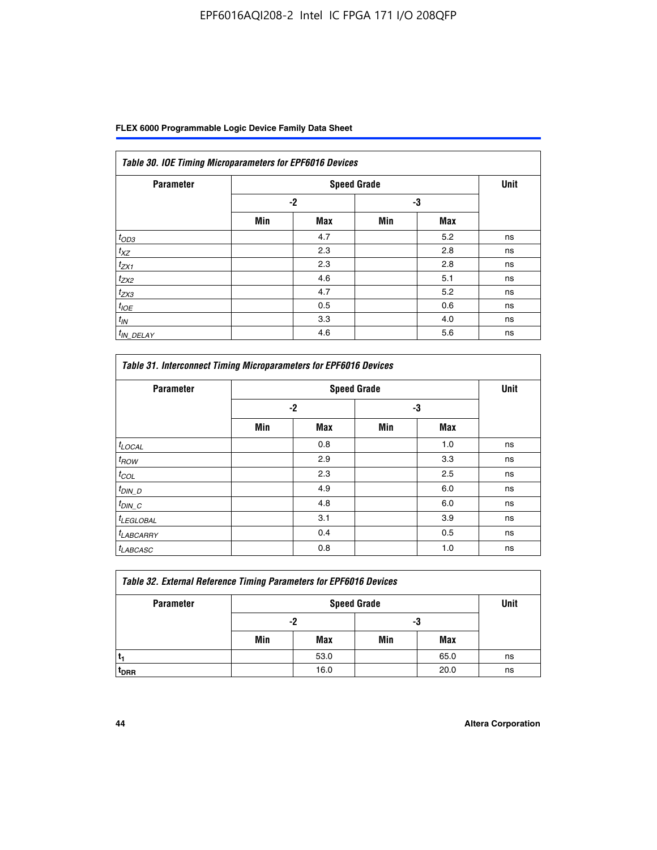| <b>Parameter</b> |      |            | <b>Speed Grade</b> |            | <b>Unit</b> |
|------------------|------|------------|--------------------|------------|-------------|
|                  | $-2$ |            |                    | -3         |             |
|                  | Min  | <b>Max</b> | Min                | <b>Max</b> |             |
| $t_{OD3}$        |      | 4.7        |                    | 5.2        | ns          |
| $t_{XZ}$         |      | 2.3        |                    | 2.8        | ns          |
| $t_{ZX1}$        |      | 2.3        |                    | 2.8        | ns          |
| $t_{ZX2}$        |      | 4.6        |                    | 5.1        | ns          |
| $t_{ZX3}$        |      | 4.7        |                    | 5.2        | ns          |
| $t_{IOE}$        |      | 0.5        |                    | 0.6        | ns          |
| $t_{IN}$         |      | 3.3        |                    | 4.0        | ns          |
| $t_{IN}$ DELAY   |      | 4.6        |                    | 5.6        | ns          |

| <b>Parameter</b>      |      | <b>Speed Grade</b> |     |            | <b>Unit</b> |
|-----------------------|------|--------------------|-----|------------|-------------|
|                       | $-2$ |                    |     | -3         |             |
|                       | Min  | <b>Max</b>         | Min | <b>Max</b> |             |
| $t_{LOCAL}$           |      | 0.8                |     | 1.0        | ns          |
| $t_{\mathit{ROW}}$    |      | 2.9                |     | 3.3        | ns          |
| $t_{COL}$             |      | 2.3                |     | 2.5        | ns          |
| $t_{DIN\_D}$          |      | 4.9                |     | 6.0        | ns          |
| $t_{DIN\_C}$          |      | 4.8                |     | 6.0        | ns          |
| <sup>t</sup> LEGLOBAL |      | 3.1                |     | 3.9        | ns          |
| <sup>t</sup> LABCARRY |      | 0.4                |     | 0.5        | ns          |
| <sup>t</sup> LABCASC  |      | 0.8                |     | 1.0        | ns          |

| <b>Table 32. External Reference Timing Parameters for EPF6016 Devices</b> |     |      |     |      |    |  |  |  |  |
|---------------------------------------------------------------------------|-----|------|-----|------|----|--|--|--|--|
| <b>Parameter</b>                                                          |     | Unit |     |      |    |  |  |  |  |
|                                                                           |     | -2   | -3  |      |    |  |  |  |  |
|                                                                           | Min | Max  | Min | Max  |    |  |  |  |  |
|                                                                           |     | 53.0 |     | 65.0 | ns |  |  |  |  |
| <sup>T</sup> DRR                                                          |     | 16.0 |     | 20.0 | ns |  |  |  |  |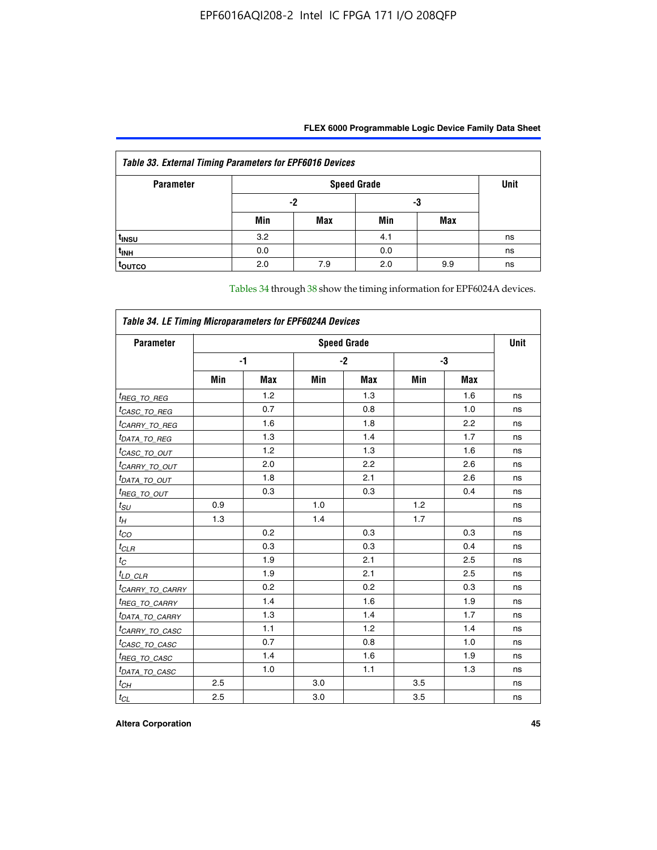| <b>Table 33. External Timing Parameters for EPF6016 Devices</b> |     |                    |     |            |    |  |  |  |  |
|-----------------------------------------------------------------|-----|--------------------|-----|------------|----|--|--|--|--|
| <b>Parameter</b>                                                |     | <b>Speed Grade</b> |     |            |    |  |  |  |  |
|                                                                 |     | -2                 |     | -3         |    |  |  |  |  |
|                                                                 | Min | Max                | Min | <b>Max</b> |    |  |  |  |  |
| t <sub>INSU</sub>                                               | 3.2 |                    | 4.1 |            | ns |  |  |  |  |
| $t_{INH}$                                                       | 0.0 |                    | 0.0 |            | ns |  |  |  |  |
| <b>TOUTCO</b>                                                   | 2.0 | 7.9                | 2.0 | 9.9        | ns |  |  |  |  |

Tables 34 through 38 show the timing information for EPF6024A devices.

| Table 34. LE Timing Microparameters for EPF6024A Devices |                    |            |     |            |     |            |    |  |  |
|----------------------------------------------------------|--------------------|------------|-----|------------|-----|------------|----|--|--|
| <b>Parameter</b>                                         | <b>Speed Grade</b> |            |     |            |     |            |    |  |  |
|                                                          |                    | -1         |     | $-2$       |     | -3         |    |  |  |
|                                                          | Min                | <b>Max</b> | Min | <b>Max</b> | Min | <b>Max</b> |    |  |  |
| <sup>t</sup> REG_TO_REG                                  |                    | 1.2        |     | 1.3        |     | 1.6        | ns |  |  |
| <sup>t</sup> CASC_TO_REG                                 |                    | 0.7        |     | 0.8        |     | 1.0        | ns |  |  |
| <sup>t</sup> CARRY_TO_REG                                |                    | 1.6        |     | 1.8        |     | 2.2        | ns |  |  |
| <sup>t</sup> DATA_TO_REG                                 |                    | 1.3        |     | 1.4        |     | 1.7        | ns |  |  |
| <sup>t</sup> CASC_TO_OUT                                 |                    | 1.2        |     | 1.3        |     | 1.6        | ns |  |  |
| <sup>t</sup> CARRY_TO_OUT                                |                    | 2.0        |     | 2.2        |     | 2.6        | ns |  |  |
| <sup>t</sup> DATA_TO_OUT                                 |                    | 1.8        |     | 2.1        |     | 2.6        | ns |  |  |
| <i>t<sub>REG_TO_OUT</sub></i>                            |                    | 0.3        |     | 0.3        |     | 0.4        | ns |  |  |
| $t_{SU}$                                                 | 0.9                |            | 1.0 |            | 1.2 |            | ns |  |  |
| $t_H$                                                    | 1.3                |            | 1.4 |            | 1.7 |            | ns |  |  |
| $t_{CO}$                                                 |                    | 0.2        |     | 0.3        |     | 0.3        | ns |  |  |
| $t_{CLR}$                                                |                    | 0.3        |     | 0.3        |     | 0.4        | ns |  |  |
| $t_C$                                                    |                    | 1.9        |     | 2.1        |     | 2.5        | ns |  |  |
| $t_{LD\_CLR}$                                            |                    | 1.9        |     | 2.1        |     | 2.5        | ns |  |  |
| <sup>t</sup> CAR <u>RY_TO_CARRY</u>                      |                    | 0.2        |     | 0.2        |     | 0.3        | ns |  |  |
| <sup>t</sup> REG_TO_CARRY                                |                    | 1.4        |     | 1.6        |     | 1.9        | ns |  |  |
| <sup>t</sup> DATA_TO_CARRY                               |                    | 1.3        |     | 1.4        |     | 1.7        | ns |  |  |
| <sup>t</sup> CARRY_TO_CASC                               |                    | 1.1        |     | 1.2        |     | 1.4        | ns |  |  |
| <sup>t</sup> CASC_TO_CASC                                |                    | 0.7        |     | 0.8        |     | 1.0        | ns |  |  |
| <sup>t</sup> REG_TO_CASC                                 |                    | 1.4        |     | 1.6        |     | 1.9        | ns |  |  |
| <sup>t</sup> DATA_TO_CASC                                |                    | 1.0        |     | 1.1        |     | 1.3        | ns |  |  |
| $t_{CH}$                                                 | 2.5                |            | 3.0 |            | 3.5 |            | ns |  |  |
| $t_{\text{CL}}$                                          | 2.5                |            | 3.0 |            | 3.5 |            | ns |  |  |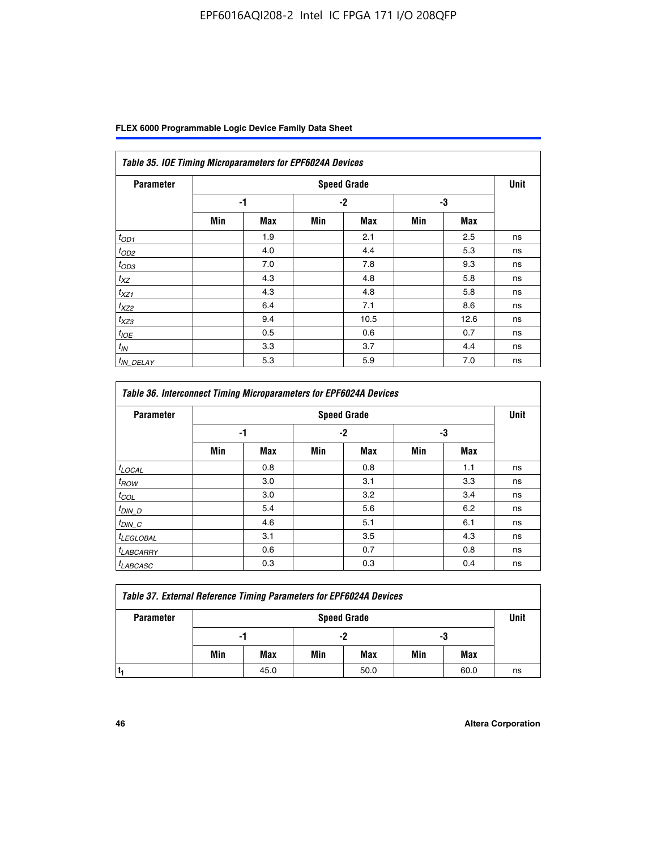| FLEX 6000 Programmable Logic Device Family Data Sheet |  |  |
|-------------------------------------------------------|--|--|
|-------------------------------------------------------|--|--|

| Table 35. IOE Timing Microparameters for EPF6024A Devices |     |            |      |                    |     |            |             |  |  |
|-----------------------------------------------------------|-----|------------|------|--------------------|-----|------------|-------------|--|--|
| <b>Parameter</b>                                          |     |            |      | <b>Speed Grade</b> |     |            | <b>Unit</b> |  |  |
|                                                           |     | -1         | $-2$ |                    | -3  |            |             |  |  |
|                                                           | Min | <b>Max</b> | Min  | <b>Max</b>         | Min | <b>Max</b> |             |  |  |
| $t_{OD1}$                                                 |     | 1.9        |      | 2.1                |     | 2.5        | ns          |  |  |
| $t_{OD2}$                                                 |     | 4.0        |      | 4.4                |     | 5.3        | ns          |  |  |
| $t_{OD3}$                                                 |     | 7.0        |      | 7.8                |     | 9.3        | ns          |  |  |
| $t_{XZ}$                                                  |     | 4.3        |      | 4.8                |     | 5.8        | ns          |  |  |
| $t_{XZ1}$                                                 |     | 4.3        |      | 4.8                |     | 5.8        | ns          |  |  |
| $t_{XZ2}$                                                 |     | 6.4        |      | 7.1                |     | 8.6        | ns          |  |  |
| $t_{XZ3}$                                                 |     | 9.4        |      | 10.5               |     | 12.6       | ns          |  |  |
| $t_{IOE}$                                                 |     | 0.5        |      | 0.6                |     | 0.7        | ns          |  |  |
| $t_{IN}$                                                  |     | 3.3        |      | 3.7                |     | 4.4        | ns          |  |  |
| <sup>t</sup> IN_DELAY                                     |     | 5.3        |      | 5.9                |     | 7.0        | ns          |  |  |

| Table 36. Interconnect Timing Microparameters for EPF6024A Devices |     |                    |     |            |     |            |    |  |  |  |
|--------------------------------------------------------------------|-----|--------------------|-----|------------|-----|------------|----|--|--|--|
| <b>Parameter</b>                                                   |     | <b>Speed Grade</b> |     |            |     |            |    |  |  |  |
|                                                                    | -1  |                    | -2  |            | -3  |            |    |  |  |  |
|                                                                    | Min | <b>Max</b>         | Min | <b>Max</b> | Min | <b>Max</b> |    |  |  |  |
| $t_{\text{LOCAL}}$                                                 |     | 0.8                |     | 0.8        |     | 1.1        | ns |  |  |  |
| $t_{ROW}$                                                          |     | 3.0                |     | 3.1        |     | 3.3        | ns |  |  |  |
| $t_{COL}$                                                          |     | 3.0                |     | 3.2        |     | 3.4        | ns |  |  |  |
| $t_{DIN\_D}$                                                       |     | 5.4                |     | 5.6        |     | 6.2        | ns |  |  |  |
| $t_{DIN\_C}$                                                       |     | 4.6                |     | 5.1        |     | 6.1        | ns |  |  |  |
| <sup>t</sup> LEGLOBAL                                              |     | 3.1                |     | 3.5        |     | 4.3        | ns |  |  |  |
| $t_{LABCARAY}$                                                     |     | 0.6                |     | 0.7        |     | 0.8        | ns |  |  |  |
| <sup>t</sup> LABCASC                                               |     | 0.3                |     | 0.3        |     | 0.4        | ns |  |  |  |

| <b>Table 37. External Reference Timing Parameters for EPF6024A Devices</b> |                    |      |     |      |     |      |      |
|----------------------------------------------------------------------------|--------------------|------|-----|------|-----|------|------|
| <b>Parameter</b>                                                           | <b>Speed Grade</b> |      |     |      |     |      | Unit |
|                                                                            |                    | -1   |     | -2   |     | -3   |      |
|                                                                            | Min                | Max  | Min | Max  | Min | Max  |      |
|                                                                            |                    | 45.0 |     | 50.0 |     | 60.0 | ns   |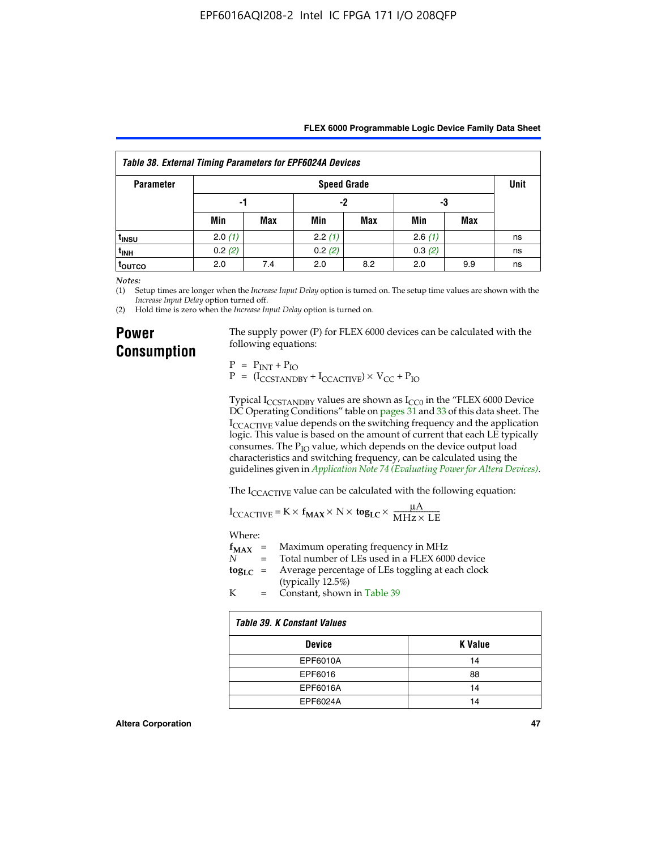|  | FLEX 6000 Programmable Logic Device Family Data Sheet |  |  |  |
|--|-------------------------------------------------------|--|--|--|
|--|-------------------------------------------------------|--|--|--|

| <b>Table 38. External Timing Parameters for EPF6024A Devices</b> |                    |            |        |     |        |     |    |
|------------------------------------------------------------------|--------------------|------------|--------|-----|--------|-----|----|
| <b>Parameter</b>                                                 | <b>Speed Grade</b> |            |        |     |        |     |    |
|                                                                  | -1                 |            | -2     |     | -3     |     |    |
|                                                                  | Min                | <b>Max</b> | Min    | Max | Min    | Max |    |
| <sup>t</sup> insu                                                | 2.0(1)             |            | 2.2(1) |     | 2.6(1) |     | ns |
| t <sub>INH</sub>                                                 | 0.2(2)             |            | 0.2(2) |     | 0.3(2) |     | ns |
| <sup>t</sup> outco                                               | 2.0                | 7.4        | 2.0    | 8.2 | 2.0    | 9.9 | ns |

*Notes:*

(1) Setup times are longer when the *Increase Input Delay* option is turned on. The setup time values are shown with the *Increase Input Delay* option turned off.

(2) Hold time is zero when the *Increase Input Delay* option is turned on.

## **Power Consumption**

The supply power (P) for FLEX 6000 devices can be calculated with the following equations:

 $P = P_{INT} + P_{IO}$  $P = (I_{CCTANDBY} + I_{CCACTIVE}) \times V_{CC} + P_{IO}$ 

Typical  $I_{CCSTANDBY}$  values are shown as  $I_{CC0}$  in the "FLEX 6000 Device DC Operating Conditions" table on pages 31 and 33 of this data sheet. The I<sub>CCACTIVE</sub> value depends on the switching frequency and the application logic. This value is based on the amount of current that each LE typically consumes. The  $P_{IO}$  value, which depends on the device output load characteristics and switching frequency, can be calculated using the guidelines given in *[Application Note 74 \(Evaluating Power for Altera Devices\)](http://www.altera.com/literature/an/an074.pdf)*.

The I<sub>CCACTIVE</sub> value can be calculated with the following equation:

$$
I_{\text{CCACTIVE}} = K \times f_{\text{MAX}} \times N \times \text{tog}_{\text{LC}} \times \frac{\mu A}{\text{MHz} \times \text{LE}}
$$

Where:

|   | $f_{MAX}$ = Maximum operating frequency in MHz                           |
|---|--------------------------------------------------------------------------|
| N | = Total number of LEs used in a FLEX 6000 device                         |
|   | $\log_{LC}$ = Average percentage of LEs toggling at each clock<br>(1, 1) |

(typically 12.5%) K = Constant, shown in Table 39

| Table 39. K Constant Values |                |  |  |  |
|-----------------------------|----------------|--|--|--|
| <b>Device</b>               | <b>K</b> Value |  |  |  |
| EPF6010A                    | 14             |  |  |  |
| EPF6016                     | 88             |  |  |  |
| EPF6016A                    | 14             |  |  |  |
| EPF6024A                    | 14             |  |  |  |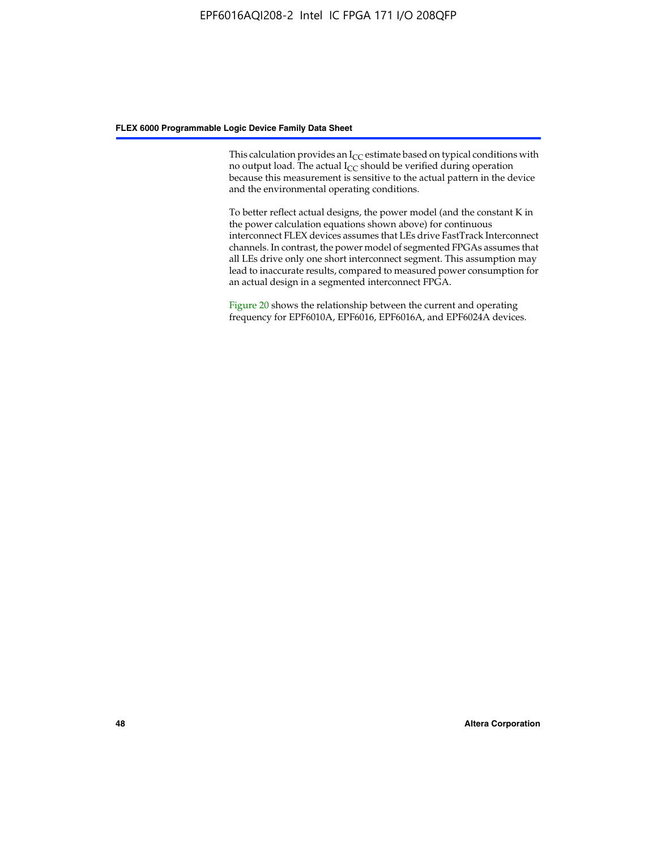This calculation provides an  $I_{CC}$  estimate based on typical conditions with no output load. The actual  $I_{CC}$  should be verified during operation because this measurement is sensitive to the actual pattern in the device and the environmental operating conditions.

To better reflect actual designs, the power model (and the constant K in the power calculation equations shown above) for continuous interconnect FLEX devices assumes that LEs drive FastTrack Interconnect channels. In contrast, the power model of segmented FPGAs assumes that all LEs drive only one short interconnect segment. This assumption may lead to inaccurate results, compared to measured power consumption for an actual design in a segmented interconnect FPGA.

Figure 20 shows the relationship between the current and operating frequency for EPF6010A, EPF6016, EPF6016A, and EPF6024A devices.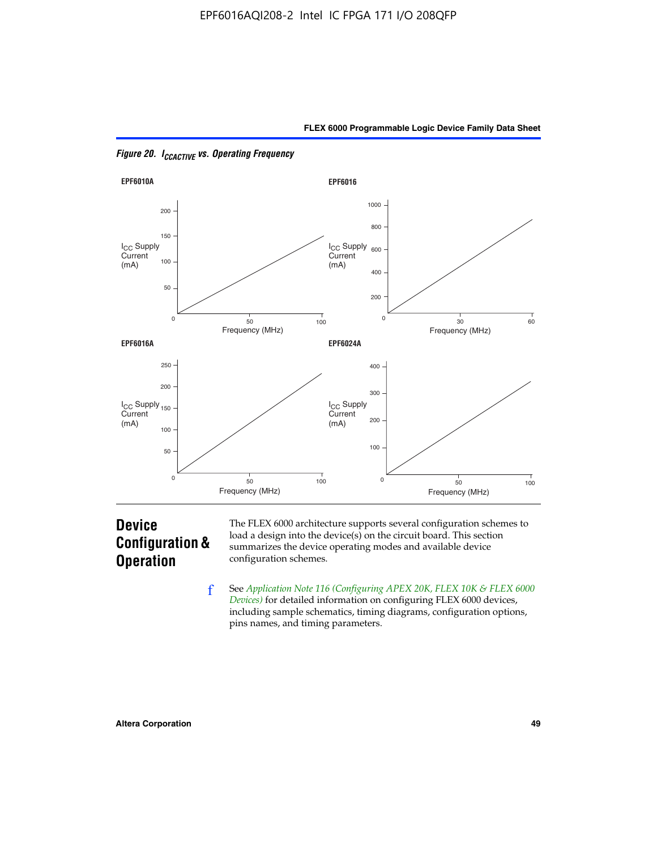



*Figure 20. ICCACTIVE vs. Operating Frequency* 

# **Device Configuration & Operation**

The FLEX 6000 architecture supports several configuration schemes to load a design into the device(s) on the circuit board. This section summarizes the device operating modes and available device configuration schemes.

f See *[Application Note 116 \(Configuring APEX 20K, FLEX 10K & FLEX 6000](http://www.altera.com/literature/an/an116.pdf)  [Devices\)](http://www.altera.com/literature/an/an116.pdf)* for detailed information on configuring FLEX 6000 devices, including sample schematics, timing diagrams, configuration options, pins names, and timing parameters.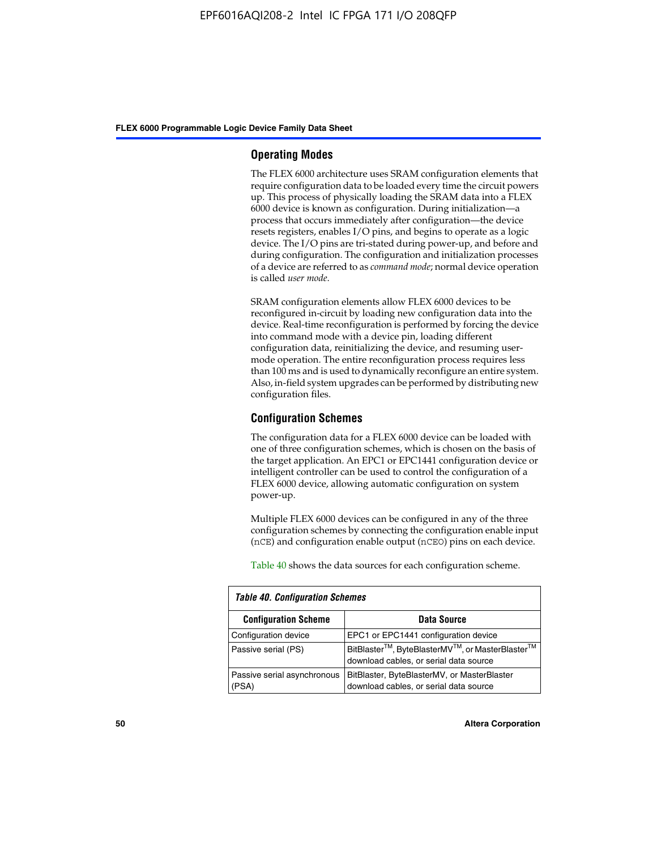#### **Operating Modes**

The FLEX 6000 architecture uses SRAM configuration elements that require configuration data to be loaded every time the circuit powers up. This process of physically loading the SRAM data into a FLEX 6000 device is known as configuration. During initialization—a process that occurs immediately after configuration—the device resets registers, enables I/O pins, and begins to operate as a logic device. The I/O pins are tri-stated during power-up, and before and during configuration. The configuration and initialization processes of a device are referred to as *command mode*; normal device operation is called *user mode*.

SRAM configuration elements allow FLEX 6000 devices to be reconfigured in-circuit by loading new configuration data into the device. Real-time reconfiguration is performed by forcing the device into command mode with a device pin, loading different configuration data, reinitializing the device, and resuming usermode operation. The entire reconfiguration process requires less than 100 ms and is used to dynamically reconfigure an entire system. Also, in-field system upgrades can be performed by distributing new configuration files.

#### **Configuration Schemes**

The configuration data for a FLEX 6000 device can be loaded with one of three configuration schemes, which is chosen on the basis of the target application. An EPC1 or EPC1441 configuration device or intelligent controller can be used to control the configuration of a FLEX 6000 device, allowing automatic configuration on system power-up.

Multiple FLEX 6000 devices can be configured in any of the three configuration schemes by connecting the configuration enable input (nCE) and configuration enable output (nCEO) pins on each device.

Table 40 shows the data sources for each configuration scheme.

| <b>Table 40. Configuration Schemes</b> |                                                                                                                                |  |  |  |
|----------------------------------------|--------------------------------------------------------------------------------------------------------------------------------|--|--|--|
| <b>Configuration Scheme</b>            | <b>Data Source</b>                                                                                                             |  |  |  |
| Configuration device                   | EPC1 or EPC1441 configuration device                                                                                           |  |  |  |
| Passive serial (PS)                    | BitBlaster <sup>™</sup> , ByteBlasterMV <sup>™</sup> , or MasterBlaster <sup>™</sup><br>download cables, or serial data source |  |  |  |
| Passive serial asynchronous<br>(PSA)   | BitBlaster, ByteBlasterMV, or MasterBlaster<br>download cables, or serial data source                                          |  |  |  |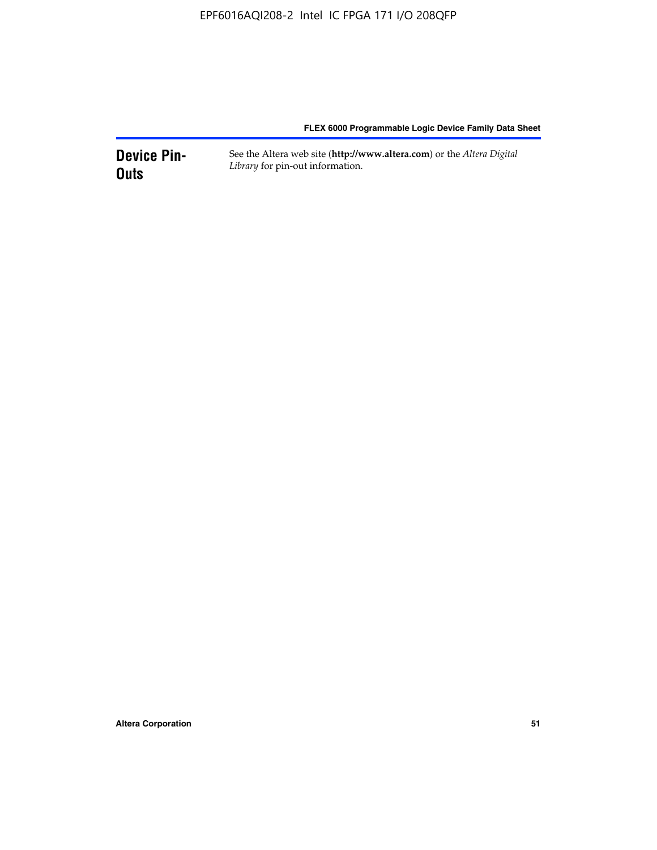**Device Pin-Outs** See the Altera web site (**http://www.altera.com**) or the *Altera Digital Library* for pin-out information.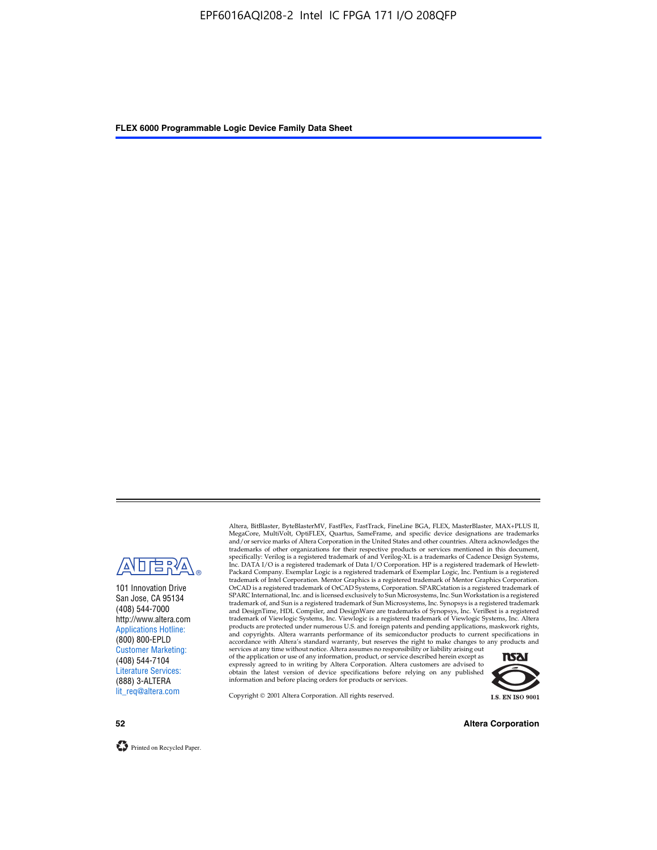

101 Innovation Drive San Jose, CA 95134 (408) 544-7000 http://www.altera.com Applications Hotline: (800) 800-EPLD Customer Marketing: (408) 544-7104 Literature Services: (888) 3-ALTERA lit\_req@altera.com

Altera, BitBlaster, ByteBlasterMV, FastFlex, FastTrack, FineLine BGA, FLEX, MasterBlaster, MAX+PLUS II, MegaCore, MultiVolt, OptiFLEX, Quartus, SameFrame, and specific device designations are trademarks and/or service marks of Altera Corporation in the United States and other countries. Altera acknowledges the trademarks of other organizations for their respective products or services mentioned in this document, specifically: Verilog is a registered trademark of and Verilog-XL is a trademarks of Cadence Design Systems,<br>Inc. DATA I/O is a registered trademark of Data I/O Corporation. HP is a registered trademark of Hewlett-<br>Packard trademark of Intel Corporation. Mentor Graphics is a registered trademark of Mentor Graphics Corporation. OrCAD is a registered trademark of OrCAD Systems, Corporation. SPARCstation is a registered trademark of SPARC International, Inc. and is licensed exclusively to Sun Microsystems, Inc. Sun Workstation is a registered trademark of, and Sun is a registered trademark of Sun Microsystems, Inc. Synopsys is a registered trademark and DesignTime, HDL Compiler, and DesignWare are trademarks of Synopsys, Inc. VeriBest is a registered<br>trademark of Viewlogic Systems, Inc. Viewlogic is a registered trademark of Viewlogic Systems, Inc. Altera<br>products are

of the application or use of any information, product, or service described herein except as<br>expressly agreed to in writing by Altera Corporation. Altera customers are advised to<br>obtain the latest version of device specifi



Copyright © 2001 Altera Corporation. All rights reserved.

**52 Altera Corporation**

Printed on Recycled Paper.